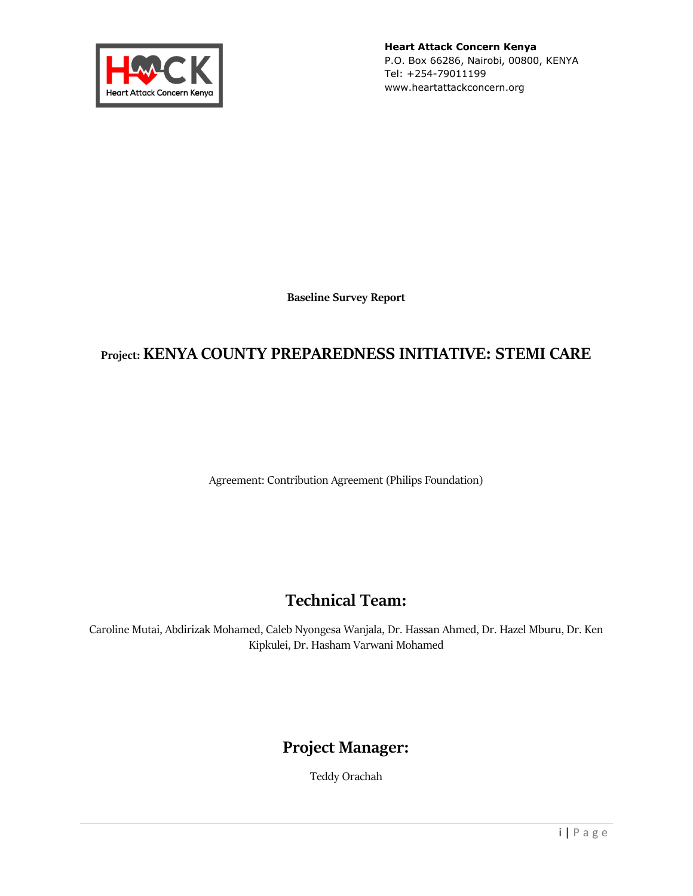

**Heart Attack Concern Kenya** P.O. Box 66286, Nairobi, 00800, KENYA Tel: +254-79011199 www.heartattackconcern.org

**Baseline Survey Report**

# **Project: KENYA COUNTY PREPAREDNESS INITIATIVE: STEMI CARE**

Agreement: Contribution Agreement (Philips Foundation)

# **Technical Team:**

Caroline Mutai, Abdirizak Mohamed, Caleb Nyongesa Wanjala, Dr. Hassan Ahmed, Dr. Hazel Mburu, Dr. Ken Kipkulei, Dr. Hasham Varwani Mohamed

# **Project Manager:**

Teddy Orachah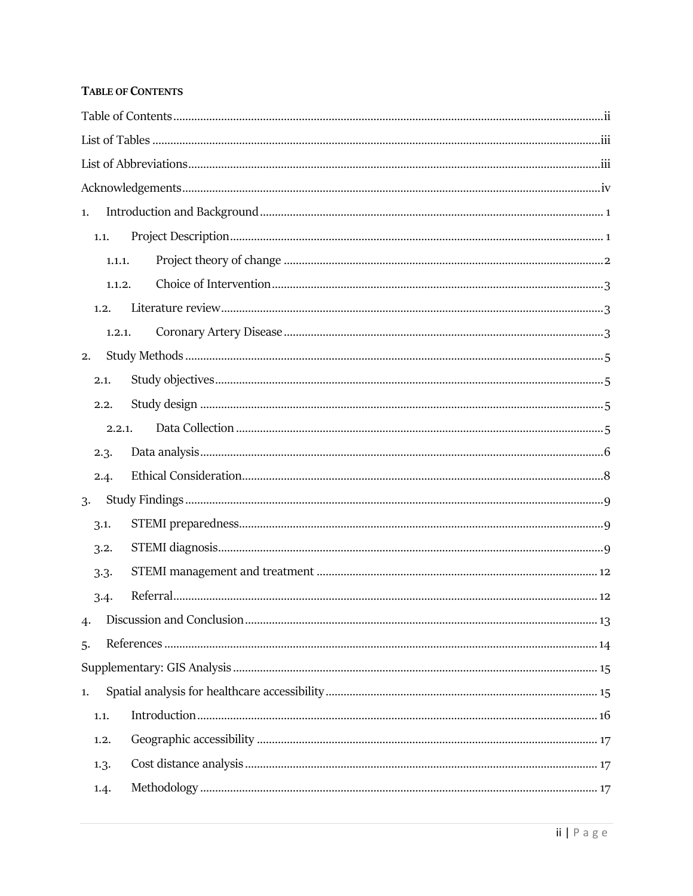#### <span id="page-1-0"></span>**TABLE OF CONTENTS**

| 1.       |  |  |  |  |  |  |  |  |  |
|----------|--|--|--|--|--|--|--|--|--|
| 1.1.     |  |  |  |  |  |  |  |  |  |
| 1.1.1.   |  |  |  |  |  |  |  |  |  |
| 1.1.2.   |  |  |  |  |  |  |  |  |  |
| 1, 2,    |  |  |  |  |  |  |  |  |  |
| 1, 2, 1, |  |  |  |  |  |  |  |  |  |
| 2.       |  |  |  |  |  |  |  |  |  |
| 2.1.     |  |  |  |  |  |  |  |  |  |
| 2.2.     |  |  |  |  |  |  |  |  |  |
| 2.2.1.   |  |  |  |  |  |  |  |  |  |
| 2.3.     |  |  |  |  |  |  |  |  |  |
| 2.4.     |  |  |  |  |  |  |  |  |  |
| 3.       |  |  |  |  |  |  |  |  |  |
| 3.1.     |  |  |  |  |  |  |  |  |  |
| 3.2.     |  |  |  |  |  |  |  |  |  |
| 3.3.     |  |  |  |  |  |  |  |  |  |
| 3.4.     |  |  |  |  |  |  |  |  |  |
| 4.       |  |  |  |  |  |  |  |  |  |
| 5.       |  |  |  |  |  |  |  |  |  |
|          |  |  |  |  |  |  |  |  |  |
| 1.       |  |  |  |  |  |  |  |  |  |
| 1.1.     |  |  |  |  |  |  |  |  |  |
| 1, 2,    |  |  |  |  |  |  |  |  |  |
| 1.3.     |  |  |  |  |  |  |  |  |  |
| 1.4.     |  |  |  |  |  |  |  |  |  |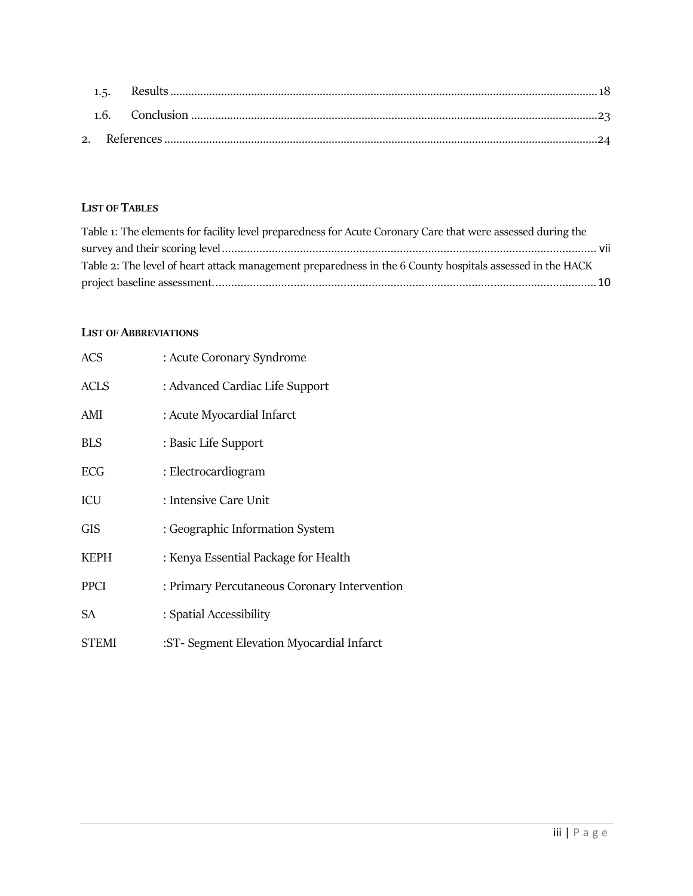### <span id="page-2-0"></span>**LIST OF TABLES**

| Table 1: The elements for facility level preparedness for Acute Coronary Care that were assessed during the |  |
|-------------------------------------------------------------------------------------------------------------|--|
|                                                                                                             |  |
| Table 2: The level of heart attack management preparedness in the 6 County hospitals assessed in the HACK   |  |
|                                                                                                             |  |

#### <span id="page-2-1"></span>**LIST OF ABBREVIATIONS**

| <b>ACS</b>   | : Acute Coronary Syndrome                    |
|--------------|----------------------------------------------|
| <b>ACLS</b>  | : Advanced Cardiac Life Support              |
| AMI          | : Acute Myocardial Infarct                   |
| <b>BLS</b>   | : Basic Life Support                         |
| <b>ECG</b>   | : Electrocardiogram                          |
| ICU          | : Intensive Care Unit                        |
| <b>GIS</b>   | : Geographic Information System              |
| <b>KEPH</b>  | : Kenya Essential Package for Health         |
| <b>PPCI</b>  | : Primary Percutaneous Coronary Intervention |
| SА           | : Spatial Accessibility                      |
| <b>STEMI</b> | :ST- Segment Elevation Myocardial Infarct    |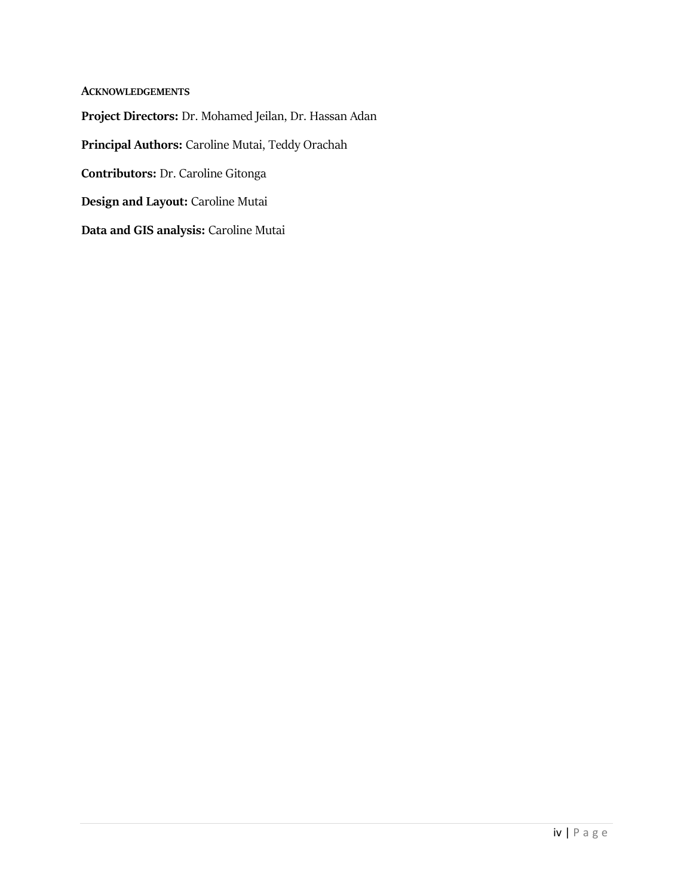<span id="page-3-0"></span>**ACKNOWLEDGEMENTS Project Directors:** Dr. Mohamed Jeilan, Dr. Hassan Adan **Principal Authors:** Caroline Mutai, Teddy Orachah **Contributors:** Dr. Caroline Gitonga **Design and Layout:** Caroline Mutai **Data and GIS analysis:** Caroline Mutai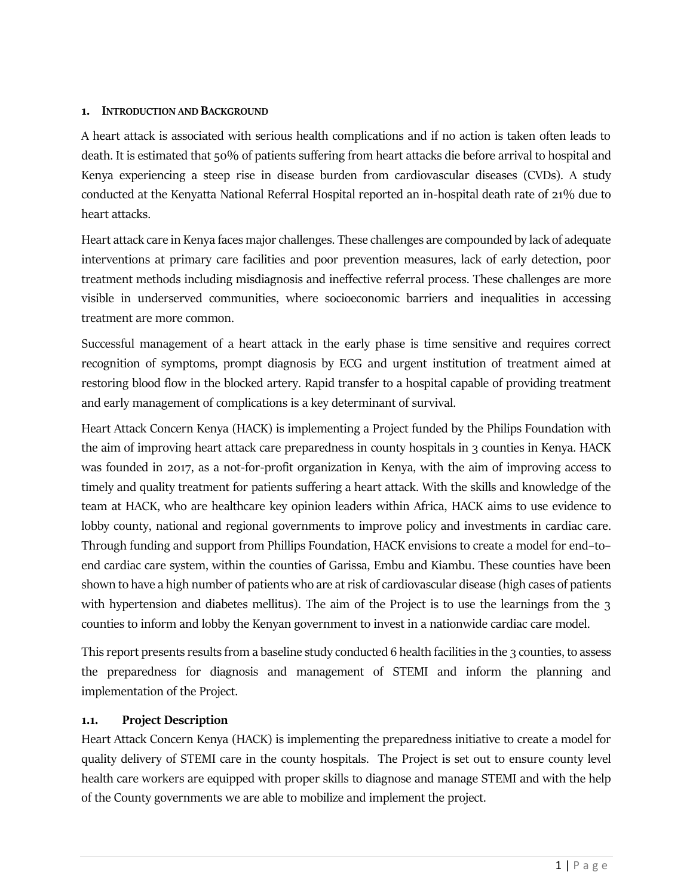#### <span id="page-4-0"></span>**1. INTRODUCTION AND BACKGROUND**

A heart attack is associated with serious health complications and if no action is taken often leads to death. It is estimated that 50% of patients suffering from heart attacks die before arrival to hospital and Kenya experiencing a steep rise in disease burden from cardiovascular diseases (CVDs). A study conducted at the Kenyatta National Referral Hospital reported an in-hospital death rate of 21% due to heart attacks.

Heart attack care in Kenya faces major challenges. These challenges are compounded by lack of adequate interventions at primary care facilities and poor prevention measures, lack of early detection, poor treatment methods including misdiagnosis and ineffective referral process. These challenges are more visible in underserved communities, where socioeconomic barriers and inequalities in accessing treatment are more common.

Successful management of a heart attack in the early phase is time sensitive and requires correct recognition of symptoms, prompt diagnosis by ECG and urgent institution of treatment aimed at restoring blood flow in the blocked artery. Rapid transfer to a hospital capable of providing treatment and early management of complications is a key determinant of survival.

Heart Attack Concern Kenya (HACK) is implementing a Project funded by the Philips Foundation with the aim of improving heart attack care preparedness in county hospitals in 3 counties in Kenya. HACK was founded in 2017, as a not-for-profit organization in Kenya, with the aim of improving access to timely and quality treatment for patients suffering a heart attack. With the skills and knowledge of the team at HACK, who are healthcare key opinion leaders within Africa, HACK aims to use evidence to lobby county, national and regional governments to improve policy and investments in cardiac care. Through funding and support from Phillips Foundation, HACK envisions to create a model for end–to– end cardiac care system, within the counties of Garissa, Embu and Kiambu. These counties have been shown to have a high number of patients who are at risk of cardiovascular disease (high cases of patients with hypertension and diabetes mellitus). The aim of the Project is to use the learnings from the 3 counties to inform and lobby the Kenyan government to invest in a nationwide cardiac care model.

This report presents results from a baseline study conducted 6 health facilities in the 3 counties, to assess the preparedness for diagnosis and management of STEMI and inform the planning and implementation of the Project.

#### <span id="page-4-1"></span>**1.1. Project Description**

Heart Attack Concern Kenya (HACK) is implementing the preparedness initiative to create a model for quality delivery of STEMI care in the county hospitals. The Project is set out to ensure county level health care workers are equipped with proper skills to diagnose and manage STEMI and with the help of the County governments we are able to mobilize and implement the project.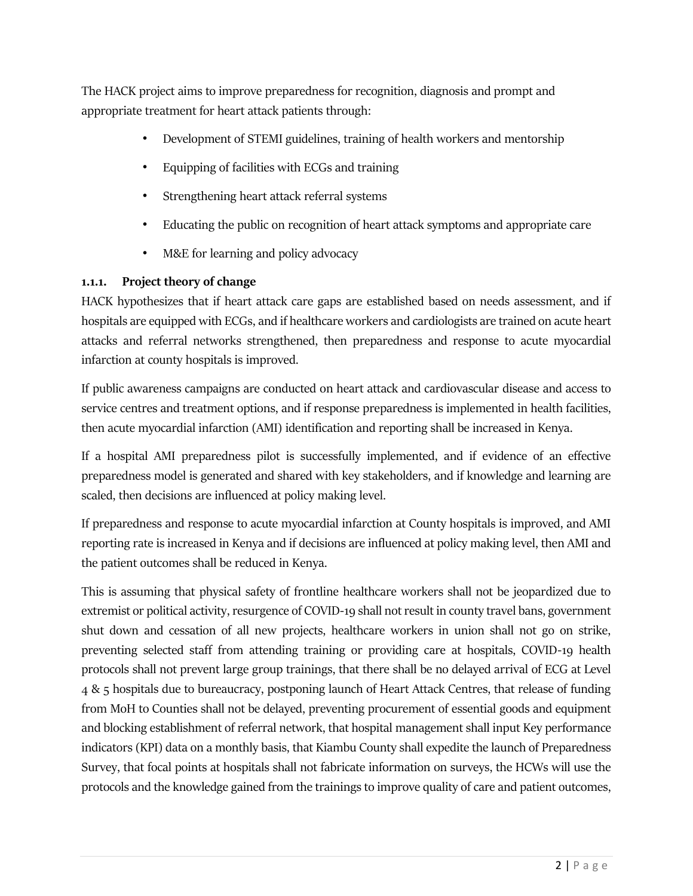The HACK project aims to improve preparedness for recognition, diagnosis and prompt and appropriate treatment for heart attack patients through:

- Development of STEMI guidelines, training of health workers and mentorship
- Equipping of facilities with ECGs and training
- Strengthening heart attack referral systems
- Educating the public on recognition of heart attack symptoms and appropriate care
- M&E for learning and policy advocacy

## <span id="page-5-0"></span>**1.1.1. Project theory of change**

HACK hypothesizes that if heart attack care gaps are established based on needs assessment, and if hospitals are equipped with ECGs, and if healthcare workers and cardiologists are trained on acute heart attacks and referral networks strengthened, then preparedness and response to acute myocardial infarction at county hospitals is improved.

If public awareness campaigns are conducted on heart attack and cardiovascular disease and access to service centres and treatment options, and if response preparedness is implemented in health facilities, then acute myocardial infarction (AMI) identification and reporting shall be increased in Kenya.

If a hospital AMI preparedness pilot is successfully implemented, and if evidence of an effective preparedness model is generated and shared with key stakeholders, and if knowledge and learning are scaled, then decisions are influenced at policy making level.

If preparedness and response to acute myocardial infarction at County hospitals is improved, and AMI reporting rate is increased in Kenya and if decisions are influenced at policy making level, then AMI and the patient outcomes shall be reduced in Kenya.

This is assuming that physical safety of frontline healthcare workers shall not be jeopardized due to extremist or political activity, resurgence of COVID-19 shall not result in county travel bans, government shut down and cessation of all new projects, healthcare workers in union shall not go on strike, preventing selected staff from attending training or providing care at hospitals, COVID-19 health protocols shall not prevent large group trainings, that there shall be no delayed arrival of ECG at Level 4 & 5 hospitals due to bureaucracy, postponing launch of Heart Attack Centres, that release of funding from MoH to Counties shall not be delayed, preventing procurement of essential goods and equipment and blocking establishment of referral network, that hospital management shall input Key performance indicators (KPI) data on a monthly basis, that Kiambu County shall expedite the launch of Preparedness Survey, that focal points at hospitals shall not fabricate information on surveys, the HCWs will use the protocols and the knowledge gained from the trainings to improve quality of care and patient outcomes,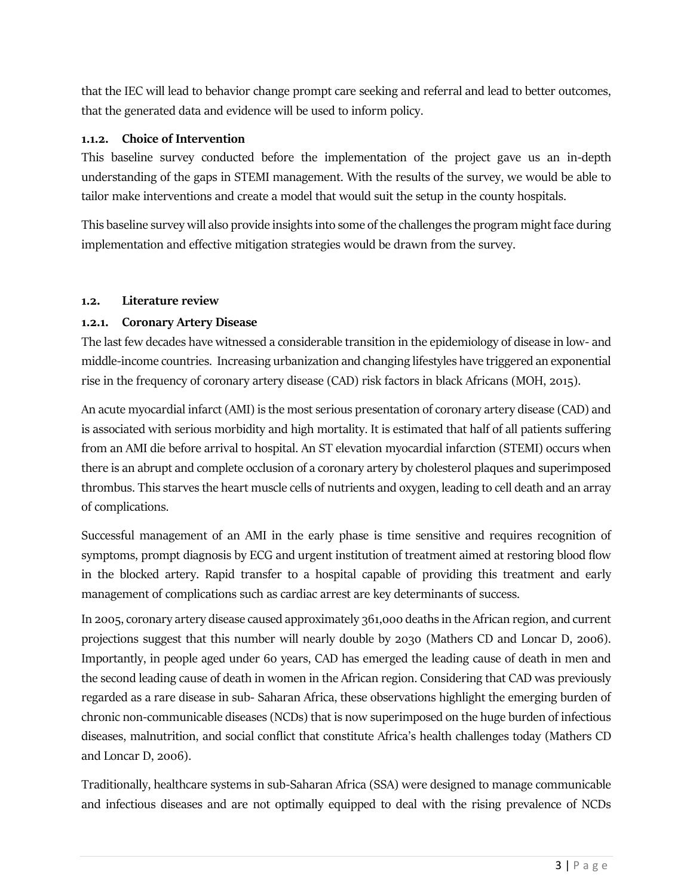that the IEC will lead to behavior change prompt care seeking and referral and lead to better outcomes, that the generated data and evidence will be used to inform policy.

#### <span id="page-6-0"></span>**1.1.2. Choice of Intervention**

This baseline survey conducted before the implementation of the project gave us an in-depth understanding of the gaps in STEMI management. With the results of the survey, we would be able to tailor make interventions and create a model that would suit the setup in the county hospitals.

This baseline survey will also provide insights into some of the challenges the program might face during implementation and effective mitigation strategies would be drawn from the survey.

#### <span id="page-6-1"></span>**1.2. Literature review**

## <span id="page-6-2"></span>**1.2.1. Coronary Artery Disease**

The last few decades have witnessed a considerable transition in the epidemiology of disease in low- and middle-income countries. Increasing urbanization and changing lifestyles have triggered an exponential rise in the frequency of coronary artery disease (CAD) risk factors in black Africans (MOH, 2015).

An acute myocardial infarct (AMI) is the most serious presentation of coronary artery disease (CAD) and is associated with serious morbidity and high mortality. It is estimated that half of all patients suffering from an AMI die before arrival to hospital. An ST elevation myocardial infarction (STEMI) occurs when there is an abrupt and complete occlusion of a coronary artery by cholesterol plaques and superimposed thrombus. This starves the heart muscle cells of nutrients and oxygen, leading to cell death and an array of complications.

Successful management of an AMI in the early phase is time sensitive and requires recognition of symptoms, prompt diagnosis by ECG and urgent institution of treatment aimed at restoring blood flow in the blocked artery. Rapid transfer to a hospital capable of providing this treatment and early management of complications such as cardiac arrest are key determinants of success.

In 2005, coronary artery disease caused approximately 361,000 deaths in the African region, and current projections suggest that this number will nearly double by 2030 (Mathers CD and Loncar D, 2006). Importantly, in people aged under 60 years, CAD has emerged the leading cause of death in men and the second leading cause of death in women in the African region. Considering that CAD was previously regarded as a rare disease in sub- Saharan Africa, these observations highlight the emerging burden of chronic non-communicable diseases (NCDs) that is now superimposed on the huge burden of infectious diseases, malnutrition, and social conflict that constitute Africa's health challenges today (Mathers CD and Loncar D, 2006).

Traditionally, healthcare systems in sub-Saharan Africa (SSA) were designed to manage communicable and infectious diseases and are not optimally equipped to deal with the rising prevalence of NCDs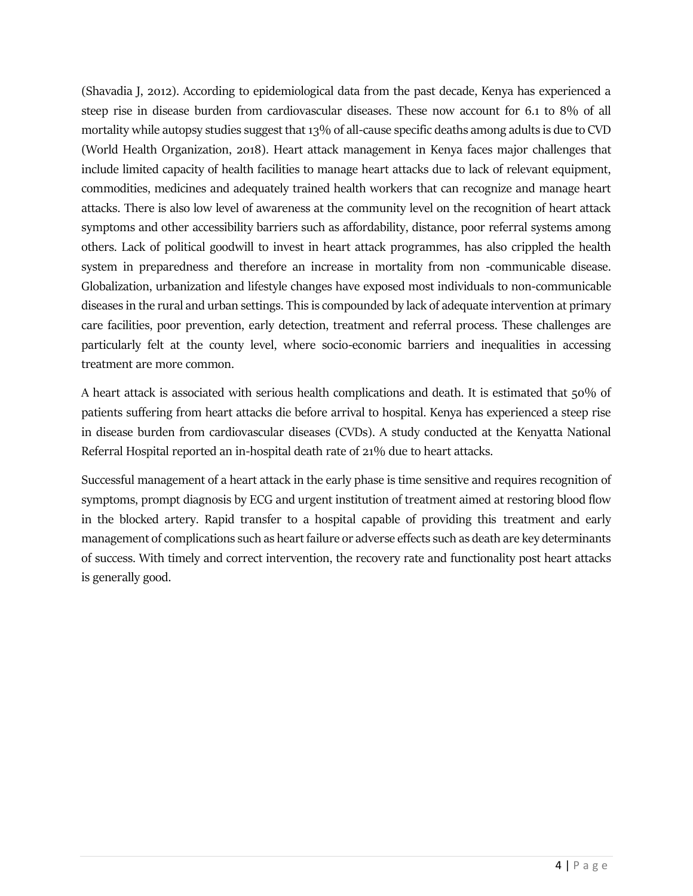(Shavadia J, 2012). According to epidemiological data from the past decade, Kenya has experienced a steep rise in disease burden from cardiovascular diseases. These now account for 6.1 to 8% of all mortality while autopsy studies suggest that 13% of all-cause specific deaths among adults is due to CVD (World Health Organization, 2018). Heart attack management in Kenya faces major challenges that include limited capacity of health facilities to manage heart attacks due to lack of relevant equipment, commodities, medicines and adequately trained health workers that can recognize and manage heart attacks. There is also low level of awareness at the community level on the recognition of heart attack symptoms and other accessibility barriers such as affordability, distance, poor referral systems among others. Lack of political goodwill to invest in heart attack programmes, has also crippled the health system in preparedness and therefore an increase in mortality from non -communicable disease. Globalization, urbanization and lifestyle changes have exposed most individuals to non-communicable diseases in the rural and urban settings. This is compounded by lack of adequate intervention at primary care facilities, poor prevention, early detection, treatment and referral process. These challenges are particularly felt at the county level, where socio-economic barriers and inequalities in accessing treatment are more common.

A heart attack is associated with serious health complications and death. It is estimated that 50% of patients suffering from heart attacks die before arrival to hospital. Kenya has experienced a steep rise in disease burden from cardiovascular diseases (CVDs). A study conducted at the Kenyatta National Referral Hospital reported an in-hospital death rate of 21% due to heart attacks.

Successful management of a heart attack in the early phase is time sensitive and requires recognition of symptoms, prompt diagnosis by ECG and urgent institution of treatment aimed at restoring blood flow in the blocked artery. Rapid transfer to a hospital capable of providing this treatment and early management of complications such as heart failure or adverse effects such as death are key determinants of success. With timely and correct intervention, the recovery rate and functionality post heart attacks is generally good.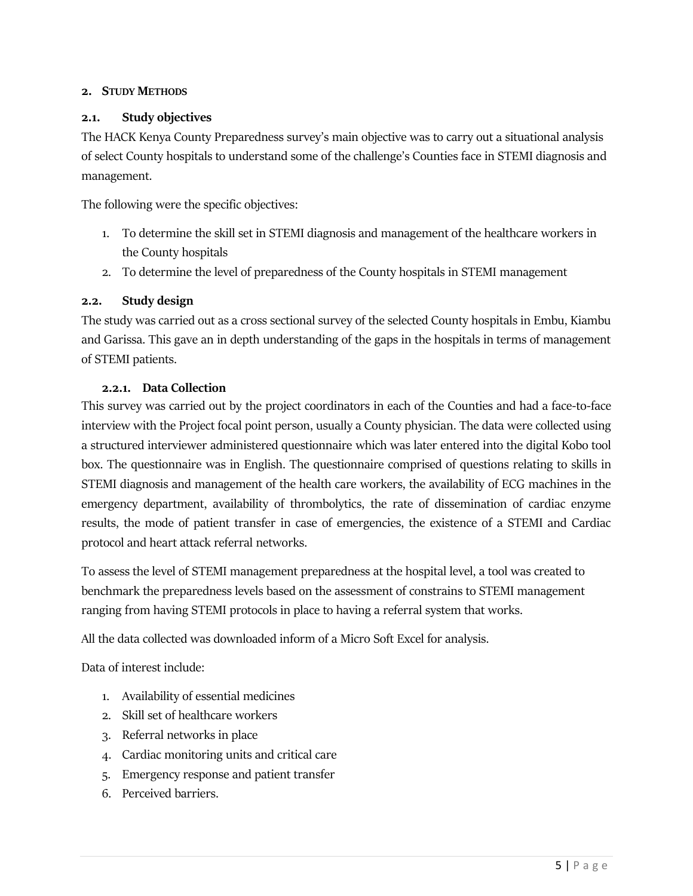#### <span id="page-8-0"></span>**2. STUDY METHODS**

#### <span id="page-8-1"></span>**2.1. Study objectives**

The HACK Kenya County Preparedness survey's main objective was to carry out a situational analysis of select County hospitals to understand some of the challenge's Counties face in STEMI diagnosis and management.

The following were the specific objectives:

- 1. To determine the skill set in STEMI diagnosis and management of the healthcare workers in the County hospitals
- 2. To determine the level of preparedness of the County hospitals in STEMI management

#### <span id="page-8-2"></span>**2.2. Study design**

The study was carried out as a cross sectional survey of the selected County hospitals in Embu, Kiambu and Garissa. This gave an in depth understanding of the gaps in the hospitals in terms of management of STEMI patients.

#### **2.2.1. Data Collection**

<span id="page-8-3"></span>This survey was carried out by the project coordinators in each of the Counties and had a face-to-face interview with the Project focal point person, usually a County physician. The data were collected using a structured interviewer administered questionnaire which was later entered into the digital Kobo tool box. The questionnaire was in English. The questionnaire comprised of questions relating to skills in STEMI diagnosis and management of the health care workers, the availability of ECG machines in the emergency department, availability of thrombolytics, the rate of dissemination of cardiac enzyme results, the mode of patient transfer in case of emergencies, the existence of a STEMI and Cardiac protocol and heart attack referral networks.

To assess the level of STEMI management preparedness at the hospital level, a tool was created to benchmark the preparedness levels based on the assessment of constrains to STEMI management ranging from having STEMI protocols in place to having a referral system that works.

All the data collected was downloaded inform of a Micro Soft Excel for analysis.

Data of interest include:

- 1. Availability of essential medicines
- 2. Skill set of healthcare workers
- 3. Referral networks in place
- 4. Cardiac monitoring units and critical care
- 5. Emergency response and patient transfer
- 6. Perceived barriers.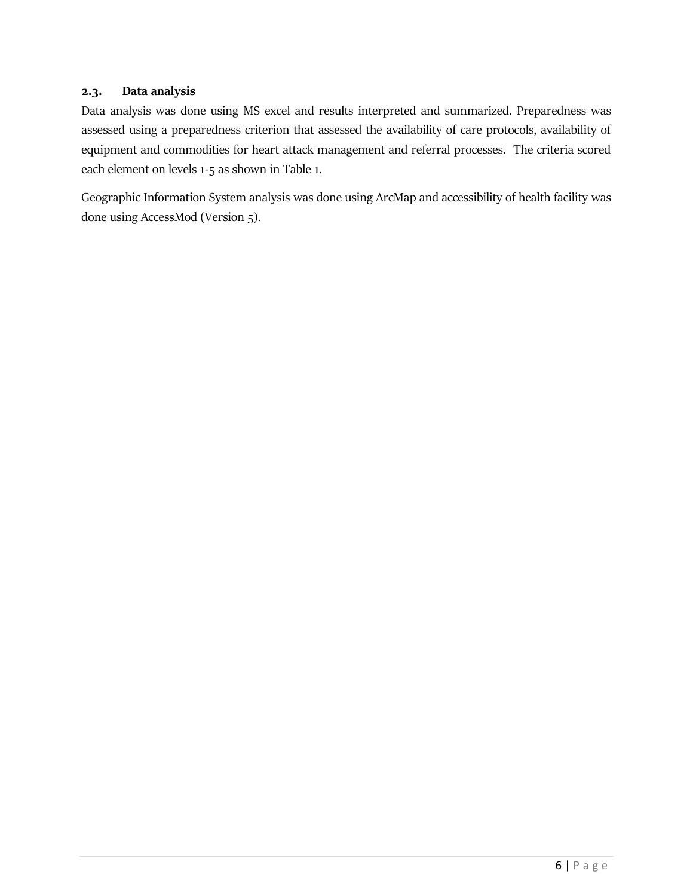#### <span id="page-9-0"></span>**2.3. Data analysis**

Data analysis was done using MS excel and results interpreted and summarized. Preparedness was assessed using a preparedness criterion that assessed the availability of care protocols, availability of equipment and commodities for heart attack management and referral processes. The criteria scored each element on levels 1-5 as shown in Table 1.

Geographic Information System analysis was done using ArcMap and accessibility of health facility was done using AccessMod (Version 5).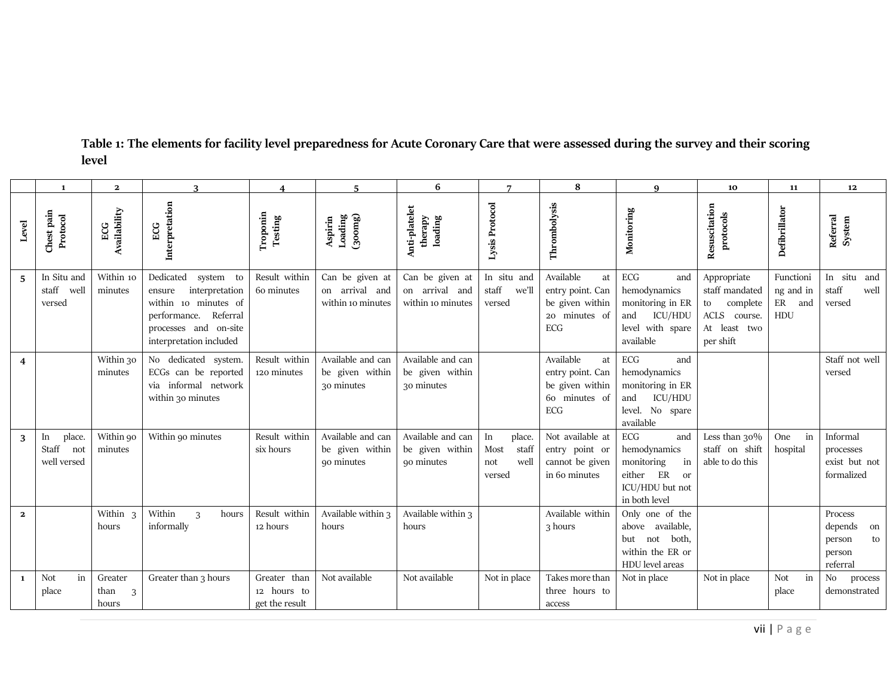<span id="page-10-0"></span>

|              | $\mathbf{1}$                                | $\mathbf{2}$                  |                                                                                                                                                         | $\boldsymbol{4}$                              | $\overline{a}$                                         | 6                                                      | $\overline{ }$                                         | 8                                                                                     | 9                                                                                                               | 10                                                                                              | 11                                      | 12                                                             |
|--------------|---------------------------------------------|-------------------------------|---------------------------------------------------------------------------------------------------------------------------------------------------------|-----------------------------------------------|--------------------------------------------------------|--------------------------------------------------------|--------------------------------------------------------|---------------------------------------------------------------------------------------|-----------------------------------------------------------------------------------------------------------------|-------------------------------------------------------------------------------------------------|-----------------------------------------|----------------------------------------------------------------|
| Level        | Chest pain<br>Protocol                      | Availability<br>ECG           | Interpretation<br>ECG                                                                                                                                   | Troponin<br>Testing                           | $\left(300mg\right)$<br>Aspirin<br>Loading             | Anti-platelet<br>therapy<br>loading                    | Lysis Protocol                                         | Thrombolysis                                                                          | Monitoring                                                                                                      | Resuscitation<br>protocols                                                                      | Defibrillator                           | Referral<br>System                                             |
| 5            | In Situ and<br>staff<br>well<br>versed      | Within 10<br>minutes          | Dedicated<br>system to<br>interpretation<br>ensure<br>within 10 minutes of<br>performance. Referral<br>processes and on-site<br>interpretation included | Result within<br>60 minutes                   | Can be given at<br>on arrival and<br>within 10 minutes | Can be given at<br>on arrival and<br>within 10 minutes | In situ and<br>staff<br>we'll<br>versed                | Available<br>at<br>entry point. Can<br>be given within<br>20 minutes of<br><b>ECG</b> | $\rm{ECG}$<br>and<br>hemodynamics<br>monitoring in ER<br><b>ICU/HDU</b><br>and<br>level with spare<br>available | Appropriate<br>staff mandated<br>complete<br>to<br>ACLS<br>course.<br>At least two<br>per shift | Functioni<br>ng and in<br>ER and<br>HDU | In situ and<br>staff<br>well<br>versed                         |
| 4            |                                             | Within 30<br>minutes          | No dedicated system.<br>ECGs can be reported<br>via informal network<br>within 30 minutes                                                               | Result within<br>120 minutes                  | Available and can<br>be given within<br>30 minutes     | Available and can<br>be given within<br>30 minutes     |                                                        | Available<br>at<br>entry point. Can<br>be given within<br>60 minutes of<br><b>ECG</b> | ECG<br>and<br>hemodynamics<br>monitoring in ER<br><b>ICU/HDU</b><br>and<br>level. No spare<br>available         |                                                                                                 |                                         | Staff not well<br>versed                                       |
| 3            | place.<br>In<br>Staff<br>not<br>well versed | Within 90<br>minutes          | Within 90 minutes                                                                                                                                       | Result within<br>six hours                    | Available and can<br>be given within<br>90 minutes     | Available and can<br>be given within<br>90 minutes     | place.<br>In<br>Most<br>staff<br>well<br>not<br>versed | Not available at<br>entry point or<br>cannot be given<br>in 60 minutes                | $\rm{ECG}$<br>and<br>hemodynamics<br>monitoring<br>in<br>either ER<br>or<br>ICU/HDU but not<br>in both level    | Less than $30\%$<br>staff on shift<br>able to do this                                           | in<br>One<br>hospital                   | Informal<br>processes<br>exist but not<br>formalized           |
| $\mathbf{2}$ |                                             | Within 3<br>hours             | Within<br>3<br>hours<br>informally                                                                                                                      | Result within<br>12 hours                     | Available within 3<br>hours                            | Available within 3<br>hours                            |                                                        | Available within<br>3 hours                                                           | Only one of the<br>above available,<br>but not both,<br>within the ER or<br>HDU level areas                     |                                                                                                 |                                         | Process<br>depends<br>on<br>to<br>person<br>person<br>referral |
| $\mathbf{1}$ | Not<br>in<br>place                          | Greater<br>than<br>3<br>hours | Greater than 3 hours                                                                                                                                    | Greater than<br>12 hours to<br>get the result | Not available                                          | Not available                                          | Not in place                                           | Takes more than<br>three hours to<br>access                                           | Not in place                                                                                                    | Not in place                                                                                    | Not<br>in<br>place                      | No<br>process<br>demonstrated                                  |

# **Table 1: The elements for facility level preparedness for Acute Coronary Care that were assessed during the survey and their scoring level**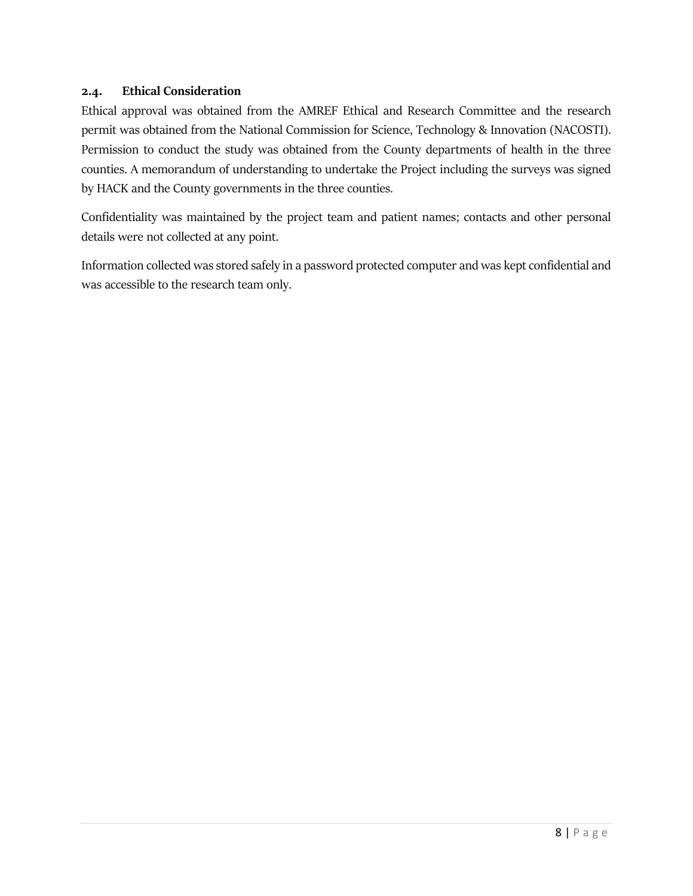#### <span id="page-11-0"></span>**2.4. Ethical Consideration**

Ethical approval was obtained from the AMREF Ethical and Research Committee and the research permit was obtained from the National Commission for Science, Technology & Innovation (NACOSTI). Permission to conduct the study was obtained from the County departments of health in the three counties. A memorandum of understanding to undertake the Project including the surveys was signed by HACK and the County governments in the three counties.

Confidentiality was maintained by the project team and patient names; contacts and other personal details were not collected at any point.

Information collected was stored safely in a password protected computer and was kept confidential and was accessible to the research team only.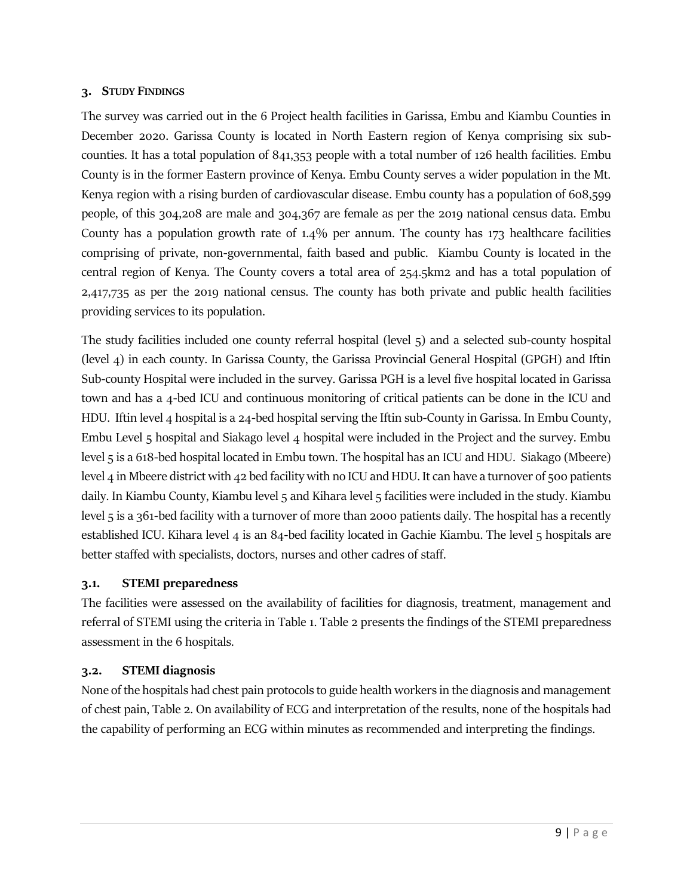#### <span id="page-12-0"></span>**3. STUDY FINDINGS**

The survey was carried out in the 6 Project health facilities in Garissa, Embu and Kiambu Counties in December 2020. Garissa County is located in North Eastern region of Kenya comprising six subcounties. It has a total population of 841,353 people with a total number of 126 health facilities. Embu County is in the former Eastern province of Kenya. Embu County serves a wider population in the Mt. Kenya region with a rising burden of cardiovascular disease. Embu county has a population of 608,599 people, of this 304,208 are male and 304,367 are female as per the 2019 national census data. Embu County has a population growth rate of 1.4% per annum. The county has 173 healthcare facilities comprising of private, non-governmental, faith based and public. Kiambu County is located in the central region of Kenya. The County covers a total area of 254.5km2 and has a total population of 2,417,735 as per the 2019 national census. The county has both private and public health facilities providing services to its population.

The study facilities included one county referral hospital (level 5) and a selected sub-county hospital (level 4) in each county. In Garissa County, the Garissa Provincial General Hospital (GPGH) and Iftin Sub-county Hospital were included in the survey. Garissa PGH is a level five hospital located in Garissa town and has a 4-bed ICU and continuous monitoring of critical patients can be done in the ICU and HDU. Iftin level 4 hospital is a 24-bed hospital serving the Iftin sub-County in Garissa. In Embu County, Embu Level 5 hospital and Siakago level 4 hospital were included in the Project and the survey. Embu level 5 is a 618-bed hospital located in Embu town. The hospital has an ICU and HDU. Siakago (Mbeere) level 4 in Mbeere district with 42 bed facility with no ICU and HDU. It can have a turnover of 500 patients daily. In Kiambu County, Kiambu level 5 and Kihara level 5 facilities were included in the study. Kiambu level 5 is a 361-bed facility with a turnover of more than 2000 patients daily. The hospital has a recently established ICU. Kihara level 4 is an 84-bed facility located in Gachie Kiambu. The level 5 hospitals are better staffed with specialists, doctors, nurses and other cadres of staff.

#### <span id="page-12-1"></span>**3.1. STEMI preparedness**

The facilities were assessed on the availability of facilities for diagnosis, treatment, management and referral of STEMI using the criteria in Table 1. Table 2 presents the findings of the STEMI preparedness assessment in the 6 hospitals.

#### <span id="page-12-2"></span>**3.2. STEMI diagnosis**

None of the hospitals had chest pain protocols to guide health workers in the diagnosis and management of chest pain, Table 2. On availability of ECG and interpretation of the results, none of the hospitals had the capability of performing an ECG within minutes as recommended and interpreting the findings.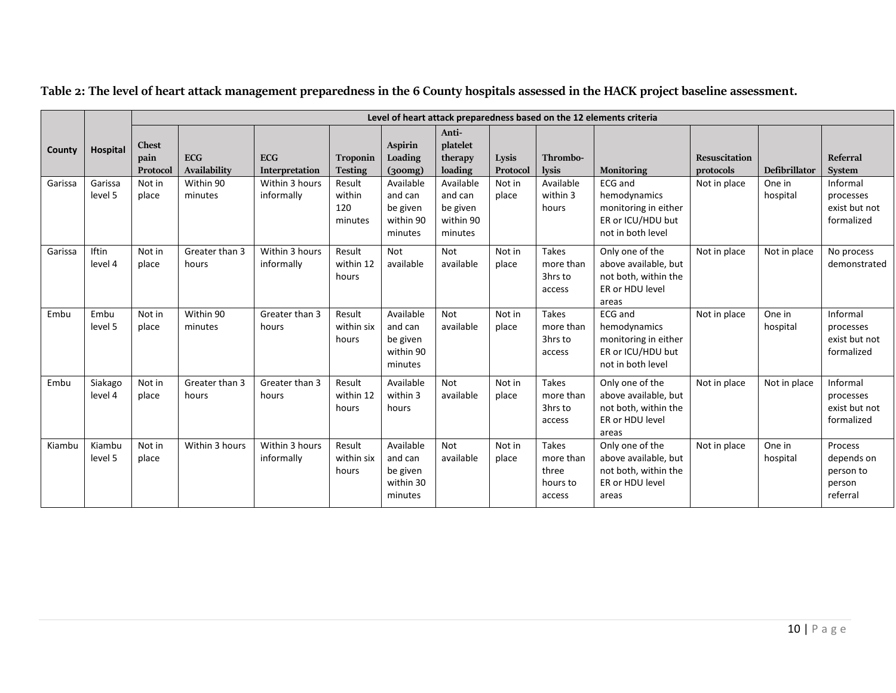<span id="page-13-0"></span>

|         |                    |                                  | Level of heart attack preparedness based on the 12 elements criteria |                              |                                    |                                                          |                                                          |                   |                                                          |                                                                                                  |                                   |                    |                                                          |
|---------|--------------------|----------------------------------|----------------------------------------------------------------------|------------------------------|------------------------------------|----------------------------------------------------------|----------------------------------------------------------|-------------------|----------------------------------------------------------|--------------------------------------------------------------------------------------------------|-----------------------------------|--------------------|----------------------------------------------------------|
| County  | <b>Hospital</b>    | <b>Chest</b><br>pain<br>Protocol | <b>ECG</b><br>Availability                                           | <b>ECG</b><br>Interpretation | Troponin<br><b>Testing</b>         | <b>Aspirin</b><br>Loading<br>(300mg)                     | Anti-<br>platelet<br>therapy<br>loading                  | Lysis<br>Protocol | Thrombo-<br>lysis                                        | <b>Monitoring</b>                                                                                | <b>Resuscitation</b><br>protocols | Defibrillator      | <b>Referral</b><br><b>System</b>                         |
| Garissa | Garissa<br>level 5 | Not in<br>place                  | Within 90<br>minutes                                                 | Within 3 hours<br>informally | Result<br>within<br>120<br>minutes | Available<br>and can<br>be given<br>within 90<br>minutes | Available<br>and can<br>be given<br>within 90<br>minutes | Not in<br>place   | Available<br>within 3<br>hours                           | ECG and<br>hemodynamics<br>monitoring in either<br>ER or ICU/HDU but<br>not in both level        | Not in place                      | One in<br>hospital | Informal<br>processes<br>exist but not<br>formalized     |
| Garissa | Iftin<br>level 4   | Not in<br>place                  | Greater than 3<br>hours                                              | Within 3 hours<br>informally | Result<br>within 12<br>hours       | Not<br>available                                         | Not<br>available                                         | Not in<br>place   | Takes<br>more than<br>3hrs to<br>access                  | Only one of the<br>above available, but<br>not both, within the<br>ER or HDU level<br>areas      | Not in place                      | Not in place       | No process<br>demonstrated                               |
| Embu    | Embu<br>level 5    | Not in<br>place                  | Within 90<br>minutes                                                 | Greater than 3<br>hours      | Result<br>within six<br>hours      | Available<br>and can<br>be given<br>within 90<br>minutes | Not<br>available                                         | Not in<br>place   | Takes<br>more than<br>3hrs to<br>access                  | <b>ECG</b> and<br>hemodynamics<br>monitoring in either<br>ER or ICU/HDU but<br>not in both level | Not in place                      | One in<br>hospital | Informal<br>processes<br>exist but not<br>formalized     |
| Embu    | Siakago<br>level 4 | Not in<br>place                  | Greater than 3<br>hours                                              | Greater than 3<br>hours      | Result<br>within 12<br>hours       | Available<br>within 3<br>hours                           | Not<br>available                                         | Not in<br>place   | Takes<br>more than<br>3hrs to<br>access                  | Only one of the<br>above available, but<br>not both, within the<br>ER or HDU level<br>areas      | Not in place                      | Not in place       | Informal<br>processes<br>exist but not<br>formalized     |
| Kiambu  | Kiambu<br>level 5  | Not in<br>place                  | Within 3 hours                                                       | Within 3 hours<br>informally | Result<br>within six<br>hours      | Available<br>and can<br>be given<br>within 30<br>minutes | <b>Not</b><br>available                                  | Not in<br>place   | <b>Takes</b><br>more than<br>three<br>hours to<br>access | Only one of the<br>above available, but<br>not both, within the<br>ER or HDU level<br>areas      | Not in place                      | One in<br>hospital | Process<br>depends on<br>person to<br>person<br>referral |

**Table 2: The level of heart attack management preparedness in the 6 County hospitals assessed in the HACK project baseline assessment.**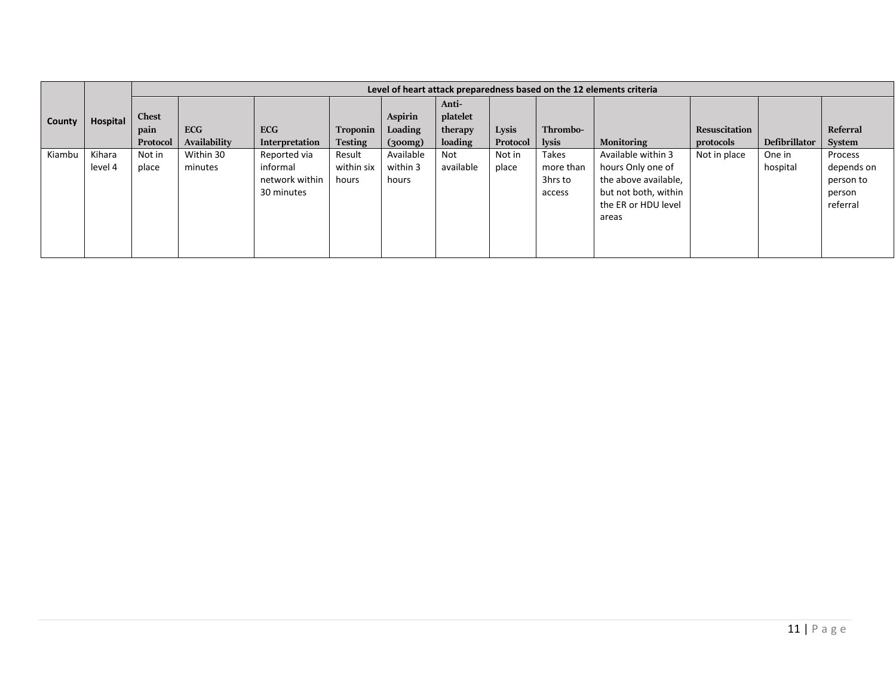|        |          | Level of heart attack preparedness based on the 12 elements criteria |              |                |                |                      |                   |          |           |                      |               |                      |            |
|--------|----------|----------------------------------------------------------------------|--------------|----------------|----------------|----------------------|-------------------|----------|-----------|----------------------|---------------|----------------------|------------|
|        | Hospital | <b>Chest</b>                                                         |              |                |                | Aspirin              | Anti-<br>platelet |          |           |                      |               |                      |            |
| County |          | pain                                                                 | <b>ECG</b>   | <b>ECG</b>     | Troponin       | Loading              | therapy           | Lysis    | Thrombo-  |                      | Resuscitation |                      | Referral   |
|        |          | Protocol                                                             | Availability | Interpretation | <b>Testing</b> | $\left(300mg\right)$ | loading           | Protocol | lysis     | <b>Monitoring</b>    | protocols     | <b>Defibrillator</b> | System     |
| Kiambu | Kihara   | Not in                                                               | Within 30    | Reported via   | Result         | Available            | Not               | Not in   | Takes     | Available within 3   | Not in place  | One in               | Process    |
|        | level 4  | place                                                                | minutes      | informal       | within six     | within 3             | available         | place    | more than | hours Only one of    |               | hospital             | depends on |
|        |          |                                                                      |              | network within | hours          | hours                |                   |          | 3hrs to   | the above available, |               |                      | person to  |
|        |          |                                                                      |              | 30 minutes     |                |                      |                   |          | access    | but not both, within |               |                      | person     |
|        |          |                                                                      |              |                |                |                      |                   |          |           | the ER or HDU level  |               |                      | referral   |
|        |          |                                                                      |              |                |                |                      |                   |          |           | areas                |               |                      |            |
|        |          |                                                                      |              |                |                |                      |                   |          |           |                      |               |                      |            |
|        |          |                                                                      |              |                |                |                      |                   |          |           |                      |               |                      |            |
|        |          |                                                                      |              |                |                |                      |                   |          |           |                      |               |                      |            |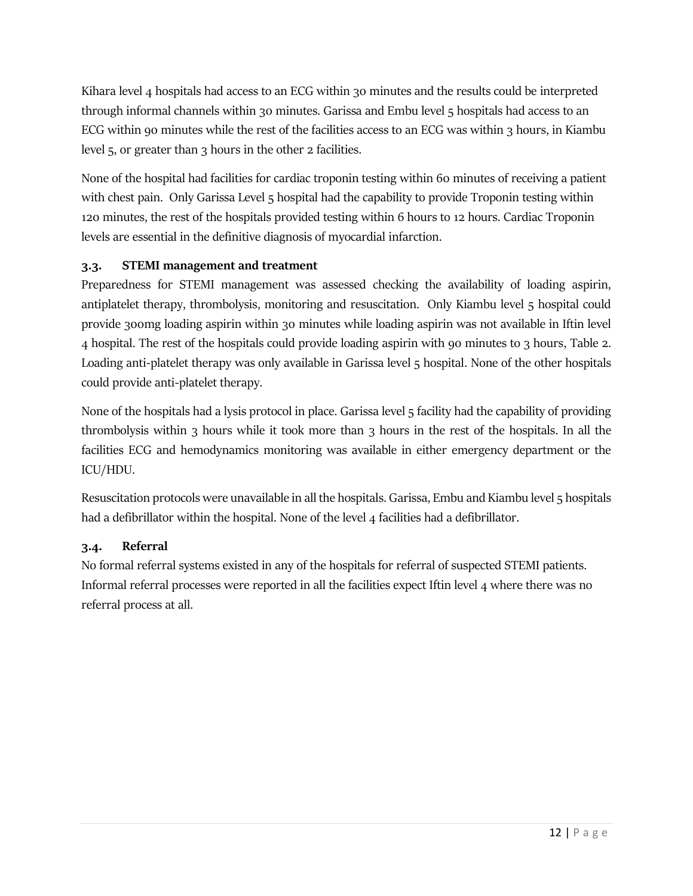Kihara level 4 hospitals had access to an ECG within 30 minutes and the results could be interpreted through informal channels within 30 minutes. Garissa and Embu level 5 hospitals had access to an ECG within 90 minutes while the rest of the facilities access to an ECG was within 3 hours, in Kiambu level 5, or greater than 3 hours in the other 2 facilities.

None of the hospital had facilities for cardiac troponin testing within 60 minutes of receiving a patient with chest pain. Only Garissa Level 5 hospital had the capability to provide Troponin testing within 120 minutes, the rest of the hospitals provided testing within 6 hours to 12 hours. Cardiac Troponin levels are essential in the definitive diagnosis of myocardial infarction.

# <span id="page-15-0"></span>**3.3. STEMI management and treatment**

Preparedness for STEMI management was assessed checking the availability of loading aspirin, antiplatelet therapy, thrombolysis, monitoring and resuscitation. Only Kiambu level 5 hospital could provide 300mg loading aspirin within 30 minutes while loading aspirin was not available in Iftin level 4 hospital. The rest of the hospitals could provide loading aspirin with 90 minutes to 3 hours, Table 2. Loading anti-platelet therapy was only available in Garissa level 5 hospital. None of the other hospitals could provide anti-platelet therapy.

None of the hospitals had a lysis protocol in place. Garissa level 5 facility had the capability of providing thrombolysis within 3 hours while it took more than 3 hours in the rest of the hospitals. In all the facilities ECG and hemodynamics monitoring was available in either emergency department or the ICU/HDU.

Resuscitation protocols were unavailable in all the hospitals. Garissa, Embu and Kiambu level 5 hospitals had a defibrillator within the hospital. None of the level 4 facilities had a defibrillator.

## <span id="page-15-1"></span>**3.4. Referral**

No formal referral systems existed in any of the hospitals for referral of suspected STEMI patients. Informal referral processes were reported in all the facilities expect Iftin level 4 where there was no referral process at all.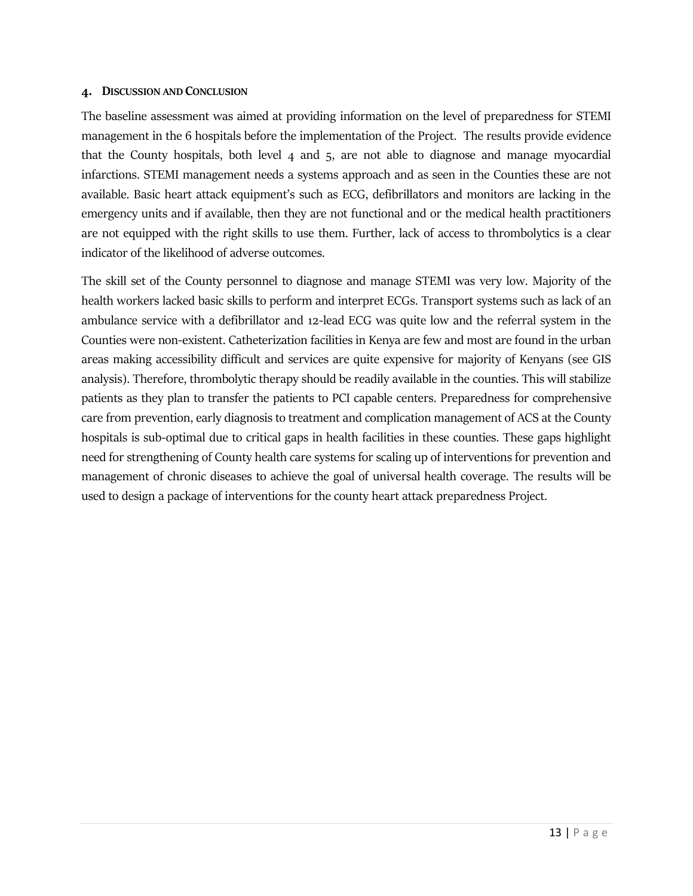#### <span id="page-16-0"></span>**4. DISCUSSION AND CONCLUSION**

The baseline assessment was aimed at providing information on the level of preparedness for STEMI management in the 6 hospitals before the implementation of the Project. The results provide evidence that the County hospitals, both level 4 and 5, are not able to diagnose and manage myocardial infarctions. STEMI management needs a systems approach and as seen in the Counties these are not available. Basic heart attack equipment's such as ECG, defibrillators and monitors are lacking in the emergency units and if available, then they are not functional and or the medical health practitioners are not equipped with the right skills to use them. Further, lack of access to thrombolytics is a clear indicator of the likelihood of adverse outcomes.

The skill set of the County personnel to diagnose and manage STEMI was very low. Majority of the health workers lacked basic skills to perform and interpret ECGs. Transport systems such as lack of an ambulance service with a defibrillator and 12-lead ECG was quite low and the referral system in the Counties were non-existent. Catheterization facilities in Kenya are few and most are found in the urban areas making accessibility difficult and services are quite expensive for majority of Kenyans (see GIS analysis). Therefore, thrombolytic therapy should be readily available in the counties. This will stabilize patients as they plan to transfer the patients to PCI capable centers. Preparedness for comprehensive care from prevention, early diagnosis to treatment and complication management of ACS at the County hospitals is sub-optimal due to critical gaps in health facilities in these counties. These gaps highlight need for strengthening of County health care systems for scaling up of interventions for prevention and management of chronic diseases to achieve the goal of universal health coverage. The results will be used to design a package of interventions for the county heart attack preparedness Project.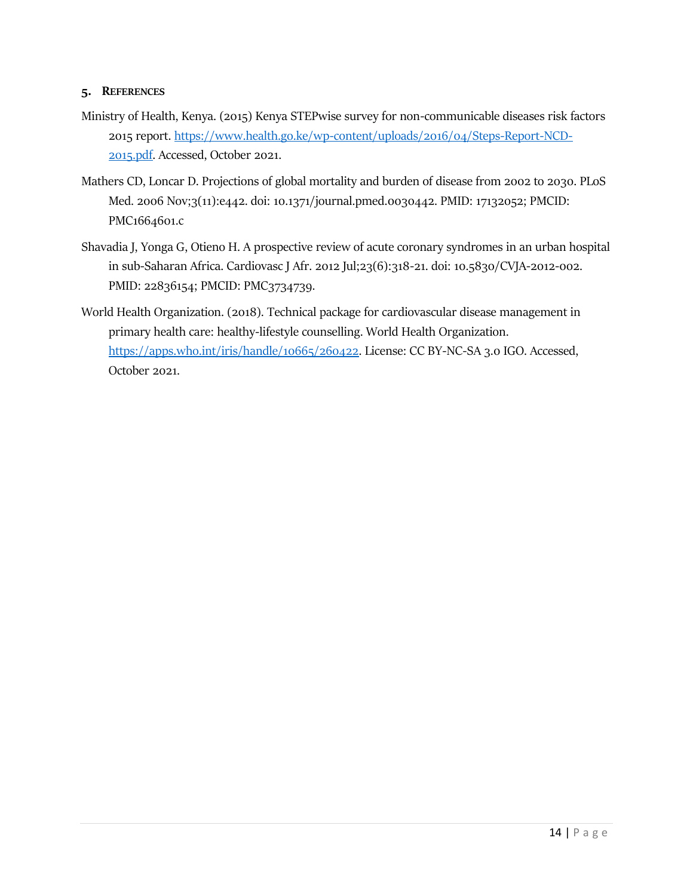#### <span id="page-17-0"></span>**5. REFERENCES**

- Ministry of Health, Kenya. (2015) Kenya STEPwise survey for non-communicable diseases risk factors 2015 report. [https://www.health.go.ke/wp-content/uploads/2016/04/Steps-Report-NCD-](https://www.health.go.ke/wp-content/uploads/2016/04/Steps-Report-NCD-2015.pdf)[2015.pdf.](https://www.health.go.ke/wp-content/uploads/2016/04/Steps-Report-NCD-2015.pdf) Accessed, October 2021.
- Mathers CD, Loncar D. Projections of global mortality and burden of disease from 2002 to 2030. PLoS Med. 2006 Nov;3(11):e442. doi: 10.1371/journal.pmed.0030442. PMID: 17132052; PMCID: PMC1664601.c
- Shavadia J, Yonga G, Otieno H. A prospective review of acute coronary syndromes in an urban hospital in sub-Saharan Africa. Cardiovasc J Afr. 2012 Jul;23(6):318-21. doi: 10.5830/CVJA-2012-002. PMID: 22836154; PMCID: PMC3734739.
- World Health Organization. (2018). Technical package for cardiovascular disease management in primary health care: healthy-lifestyle counselling. World Health Organization. [https://apps.who.int/iris/handle/10665/260422.](https://apps.who.int/iris/handle/10665/260422) License: CC BY-NC-SA 3.0 IGO. Accessed, October 2021.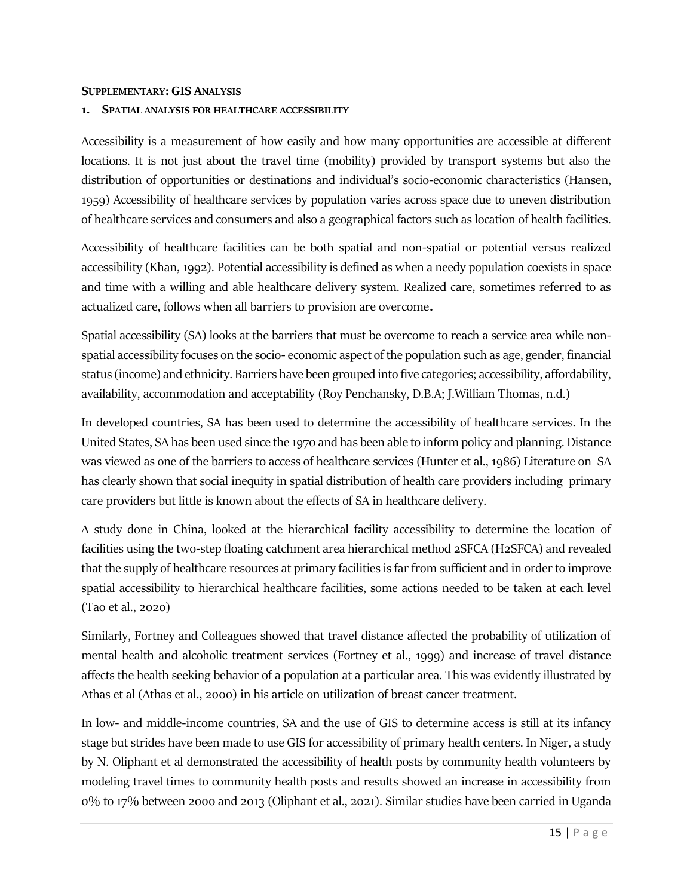#### <span id="page-18-0"></span>**SUPPLEMENTARY: GIS ANALYSIS**

#### <span id="page-18-1"></span>**1. SPATIAL ANALYSIS FOR HEALTHCARE ACCESSIBILITY**

Accessibility is a measurement of how easily and how many opportunities are accessible at different locations. It is not just about the travel time (mobility) provided by transport systems but also the distribution of opportunities or destinations and individual's socio-economic characteristics (Hansen, 1959) Accessibility of healthcare services by population varies across space due to uneven distribution of healthcare services and consumers and also a geographical factors such as location of health facilities.

Accessibility of healthcare facilities can be both spatial and non-spatial or potential versus realized accessibility (Khan, 1992). Potential accessibility is defined as when a needy population coexists in space and time with a willing and able healthcare delivery system. Realized care, sometimes referred to as actualized care, follows when all barriers to provision are overcome.

Spatial accessibility (SA) looks at the barriers that must be overcome to reach a service area while nonspatial accessibility focuses on the socio- economic aspect of the population such as age, gender, financial status (income) and ethnicity. Barriers have been grouped into five categories; accessibility, affordability, availability, accommodation and acceptability (Roy Penchansky, D.B.A; J.William Thomas, n.d.)

In developed countries, SA has been used to determine the accessibility of healthcare services. In the United States, SA has been used since the 1970 and has been able to inform policy and planning. Distance was viewed as one of the barriers to access of healthcare services (Hunter et al., 1986) Literature on SA has clearly shown that social inequity in spatial distribution of health care providers including primary care providers but little is known about the effects of SA in healthcare delivery.

A study done in China, looked at the hierarchical facility accessibility to determine the location of facilities using the two-step floating catchment area hierarchical method 2SFCA (H2SFCA) and revealed that the supply of healthcare resources at primary facilities is far from sufficient and in order to improve spatial accessibility to hierarchical healthcare facilities, some actions needed to be taken at each level (Tao et al., 2020)

Similarly, Fortney and Colleagues showed that travel distance affected the probability of utilization of mental health and alcoholic treatment services (Fortney et al., 1999) and increase of travel distance affects the health seeking behavior of a population at a particular area. This was evidently illustrated by Athas et al (Athas et al., 2000) in his article on utilization of breast cancer treatment.

In low- and middle-income countries, SA and the use of GIS to determine access is still at its infancy stage but strides have been made to use GIS for accessibility of primary health centers. In Niger, a study by N. Oliphant et al demonstrated the accessibility of health posts by community health volunteers by modeling travel times to community health posts and results showed an increase in accessibility from 0% to 17% between 2000 and 2013 (Oliphant et al., 2021). Similar studies have been carried in Uganda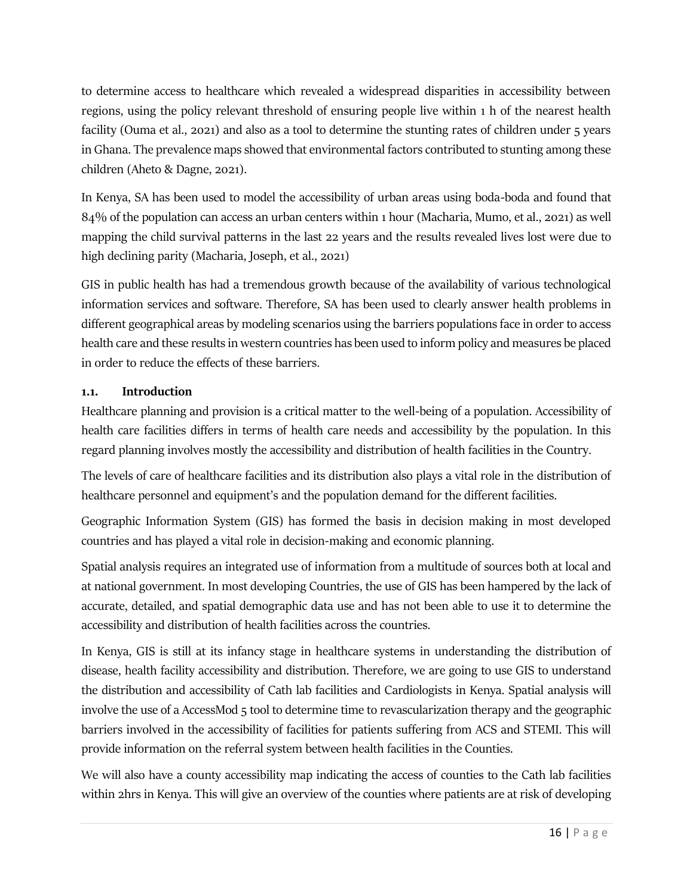to determine access to healthcare which revealed a widespread disparities in accessibility between regions, using the policy relevant threshold of ensuring people live within 1 h of the nearest health facility (Ouma et al., 2021) and also as a tool to determine the stunting rates of children under 5 years in Ghana. The prevalence maps showed that environmental factors contributed to stunting among these children (Aheto & Dagne, 2021).

In Kenya, SA has been used to model the accessibility of urban areas using boda-boda and found that 84% of the population can access an urban centers within 1 hour (Macharia, Mumo, et al., 2021) as well mapping the child survival patterns in the last 22 years and the results revealed lives lost were due to high declining parity (Macharia, Joseph, et al., 2021)

GIS in public health has had a tremendous growth because of the availability of various technological information services and software. Therefore, SA has been used to clearly answer health problems in different geographical areas by modeling scenarios using the barriers populations face in order to access health care and these results in western countries has been used to inform policy and measures be placed in order to reduce the effects of these barriers.

# <span id="page-19-0"></span>**1.1. Introduction**

Healthcare planning and provision is a critical matter to the well-being of a population. Accessibility of health care facilities differs in terms of health care needs and accessibility by the population. In this regard planning involves mostly the accessibility and distribution of health facilities in the Country.

The levels of care of healthcare facilities and its distribution also plays a vital role in the distribution of healthcare personnel and equipment's and the population demand for the different facilities.

Geographic Information System (GIS) has formed the basis in decision making in most developed countries and has played a vital role in decision-making and economic planning.

Spatial analysis requires an integrated use of information from a multitude of sources both at local and at national government. In most developing Countries, the use of GIS has been hampered by the lack of accurate, detailed, and spatial demographic data use and has not been able to use it to determine the accessibility and distribution of health facilities across the countries.

In Kenya, GIS is still at its infancy stage in healthcare systems in understanding the distribution of disease, health facility accessibility and distribution. Therefore, we are going to use GIS to understand the distribution and accessibility of Cath lab facilities and Cardiologists in Kenya. Spatial analysis will involve the use of a AccessMod 5 tool to determine time to revascularization therapy and the geographic barriers involved in the accessibility of facilities for patients suffering from ACS and STEMI. This will provide information on the referral system between health facilities in the Counties.

We will also have a county accessibility map indicating the access of counties to the Cath lab facilities within 2hrs in Kenya. This will give an overview of the counties where patients are at risk of developing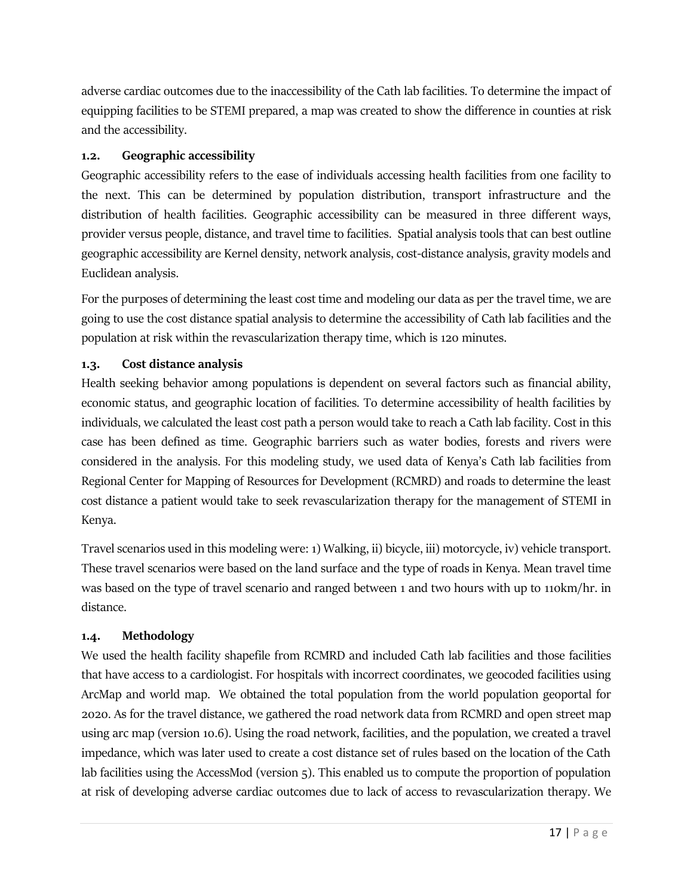adverse cardiac outcomes due to the inaccessibility of the Cath lab facilities. To determine the impact of equipping facilities to be STEMI prepared, a map was created to show the difference in counties at risk and the accessibility.

# <span id="page-20-0"></span>**1.2. Geographic accessibility**

Geographic accessibility refers to the ease of individuals accessing health facilities from one facility to the next. This can be determined by population distribution, transport infrastructure and the distribution of health facilities. Geographic accessibility can be measured in three different ways, provider versus people, distance, and travel time to facilities. Spatial analysis tools that can best outline geographic accessibility are Kernel density, network analysis, cost-distance analysis, gravity models and Euclidean analysis.

For the purposes of determining the least cost time and modeling our data as per the travel time, we are going to use the cost distance spatial analysis to determine the accessibility of Cath lab facilities and the population at risk within the revascularization therapy time, which is 120 minutes.

# <span id="page-20-1"></span>**1.3. Cost distance analysis**

Health seeking behavior among populations is dependent on several factors such as financial ability, economic status, and geographic location of facilities. To determine accessibility of health facilities by individuals, we calculated the least cost path a person would take to reach a Cath lab facility. Cost in this case has been defined as time. Geographic barriers such as water bodies, forests and rivers were considered in the analysis. For this modeling study, we used data of Kenya's Cath lab facilities from Regional Center for Mapping of Resources for Development (RCMRD) and roads to determine the least cost distance a patient would take to seek revascularization therapy for the management of STEMI in Kenya.

Travel scenarios used in this modeling were: 1) Walking, ii) bicycle, iii) motorcycle, iv) vehicle transport. These travel scenarios were based on the land surface and the type of roads in Kenya. Mean travel time was based on the type of travel scenario and ranged between 1 and two hours with up to 110km/hr. in distance.

## <span id="page-20-2"></span>**1.4. Methodology**

We used the health facility shapefile from RCMRD and included Cath lab facilities and those facilities that have access to a cardiologist. For hospitals with incorrect coordinates, we geocoded facilities using ArcMap and world map. We obtained the total population from the world population geoportal for 2020. As for the travel distance, we gathered the road network data from RCMRD and open street map using arc map (version 10.6). Using the road network, facilities, and the population, we created a travel impedance, which was later used to create a cost distance set of rules based on the location of the Cath lab facilities using the AccessMod (version 5). This enabled us to compute the proportion of population at risk of developing adverse cardiac outcomes due to lack of access to revascularization therapy. We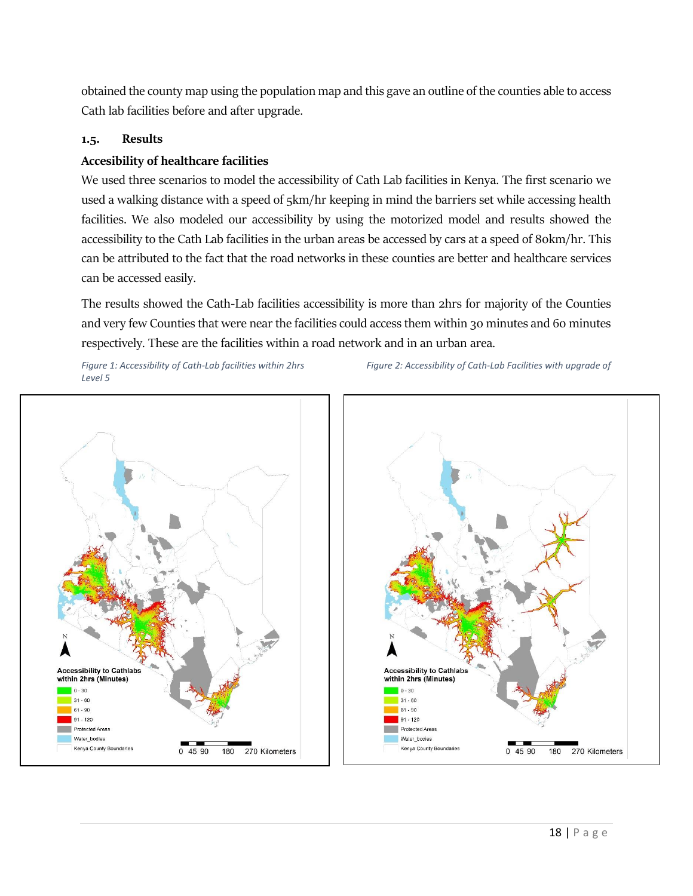obtained the county map using the population map and this gave an outline of the counties able to access Cath lab facilities before and after upgrade.

#### <span id="page-21-0"></span>**1.5. Results**

#### **Accesibility of healthcare facilities**

We used three scenarios to model the accessibility of Cath Lab facilities in Kenya. The first scenario we used a walking distance with a speed of 5km/hr keeping in mind the barriers set while accessing health facilities. We also modeled our accessibility by using the motorized model and results showed the accessibility to the Cath Lab facilities in the urban areas be accessed by cars at a speed of 80km/hr. This can be attributed to the fact that the road networks in these counties are better and healthcare services can be accessed easily.

The results showed the Cath-Lab facilities accessibility is more than 2hrs for majority of the Counties and very few Counties that were near the facilities could access them within 30 minutes and 60 minutes respectively. These are the facilities within a road network and in an urban area.

*Level 5*

*Figure 1: Accessibility of Cath-Lab facilities within 2hrs Figure 2: Accessibility of Cath-Lab Facilities with upgrade of* 



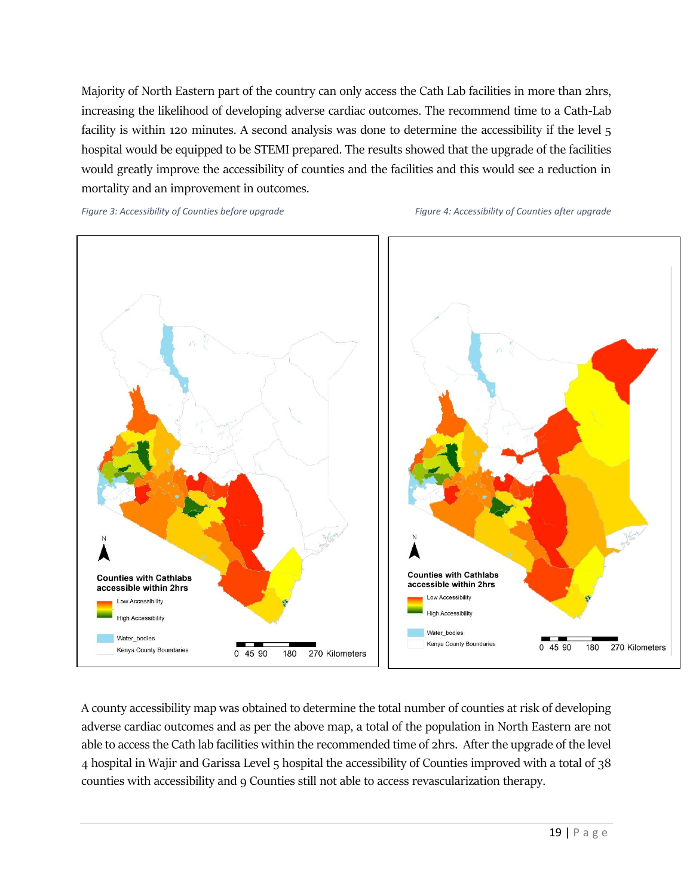Majority of North Eastern part of the country can only access the Cath Lab facilities in more than 2hrs, increasing the likelihood of developing adverse cardiac outcomes. The recommend time to a Cath-Lab facility is within 120 minutes. A second analysis was done to determine the accessibility if the level 5 hospital would be equipped to be STEMI prepared. The results showed that the upgrade of the facilities would greatly improve the accessibility of counties and the facilities and this would see a reduction in mortality and an improvement in outcomes.

*Figure 3: Accessibility of Counties before upgrade* Figure 4: Accessibility of Counties after upgrade Figure 4: Accessibility of Counties after upgrade



A county accessibility map was obtained to determine the total number of counties at risk of developing adverse cardiac outcomes and as per the above map, a total of the population in North Eastern are not able to access the Cath lab facilities within the recommended time of 2hrs. After the upgrade of the level 4 hospital in Wajir and Garissa Level 5 hospital the accessibility of Counties improved with a total of 38 counties with accessibility and 9 Counties still not able to access revascularization therapy.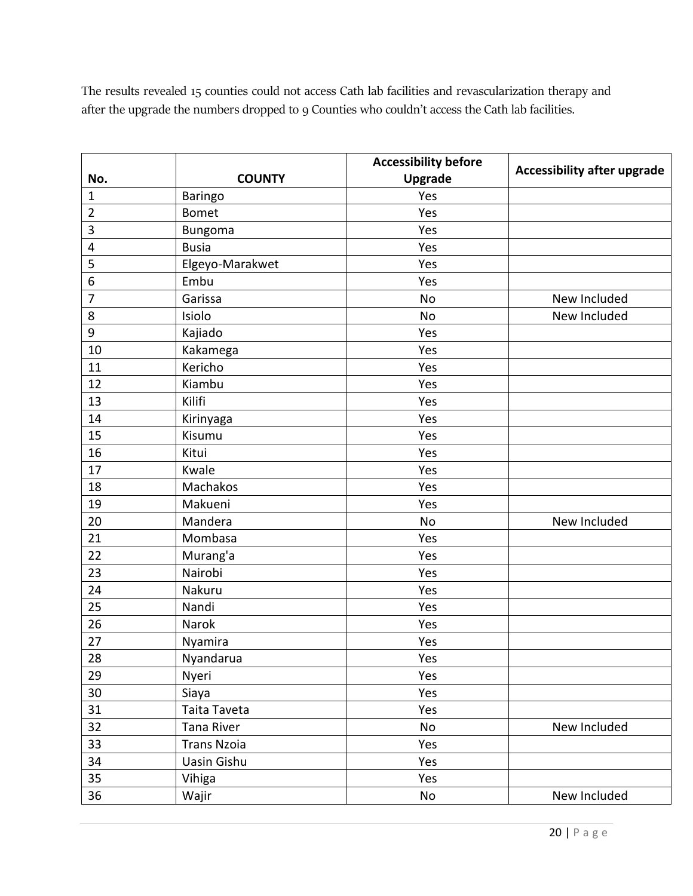The results revealed 15 counties could not access Cath lab facilities and revascularization therapy and after the upgrade the numbers dropped to 9 Counties who couldn't access the Cath lab facilities.

|                |                    | <b>Accessibility before</b> | <b>Accessibility after upgrade</b> |  |  |
|----------------|--------------------|-----------------------------|------------------------------------|--|--|
| No.            | <b>COUNTY</b>      | <b>Upgrade</b>              |                                    |  |  |
| $\mathbf 1$    | <b>Baringo</b>     | Yes                         |                                    |  |  |
| $\overline{2}$ | <b>Bomet</b>       | Yes                         |                                    |  |  |
| 3              | Bungoma            | Yes                         |                                    |  |  |
| 4              | <b>Busia</b>       | Yes                         |                                    |  |  |
| 5              | Elgeyo-Marakwet    | Yes                         |                                    |  |  |
| 6              | Embu               | Yes                         |                                    |  |  |
| $\overline{7}$ | Garissa            | <b>No</b>                   | New Included                       |  |  |
| 8              | Isiolo             | No                          | New Included                       |  |  |
| 9              | Kajiado            | Yes                         |                                    |  |  |
| 10             | Kakamega           | Yes                         |                                    |  |  |
| 11             | Kericho            | Yes                         |                                    |  |  |
| 12             | Kiambu             | Yes                         |                                    |  |  |
| 13             | Kilifi             | Yes                         |                                    |  |  |
| 14             | Kirinyaga          | Yes                         |                                    |  |  |
| 15             | Kisumu             | Yes                         |                                    |  |  |
| 16             | Kitui              | Yes                         |                                    |  |  |
| 17             | Kwale              | Yes                         |                                    |  |  |
| 18             | Machakos           | Yes                         |                                    |  |  |
| 19             | Makueni            | Yes                         |                                    |  |  |
| 20             | Mandera            | <b>No</b>                   | New Included                       |  |  |
| 21             | Mombasa            | Yes                         |                                    |  |  |
| 22             | Murang'a           | Yes                         |                                    |  |  |
| 23             | Nairobi            | Yes                         |                                    |  |  |
| 24             | Nakuru             | Yes                         |                                    |  |  |
| 25             | Nandi              | Yes                         |                                    |  |  |
| 26             | Narok              | Yes                         |                                    |  |  |
| 27             | Nyamira            | Yes                         |                                    |  |  |
| 28             | Nyandarua          | Yes                         |                                    |  |  |
| 29             | Nyeri              | Yes                         |                                    |  |  |
| 30             | Siaya              | Yes                         |                                    |  |  |
| 31             | Taita Taveta       | Yes                         |                                    |  |  |
| 32             | Tana River         | No                          | New Included                       |  |  |
| 33             | <b>Trans Nzoia</b> | Yes                         |                                    |  |  |
| 34             | Uasin Gishu        | Yes                         |                                    |  |  |
| 35             | Vihiga             | Yes                         |                                    |  |  |
| 36             | Wajir              | No                          | New Included                       |  |  |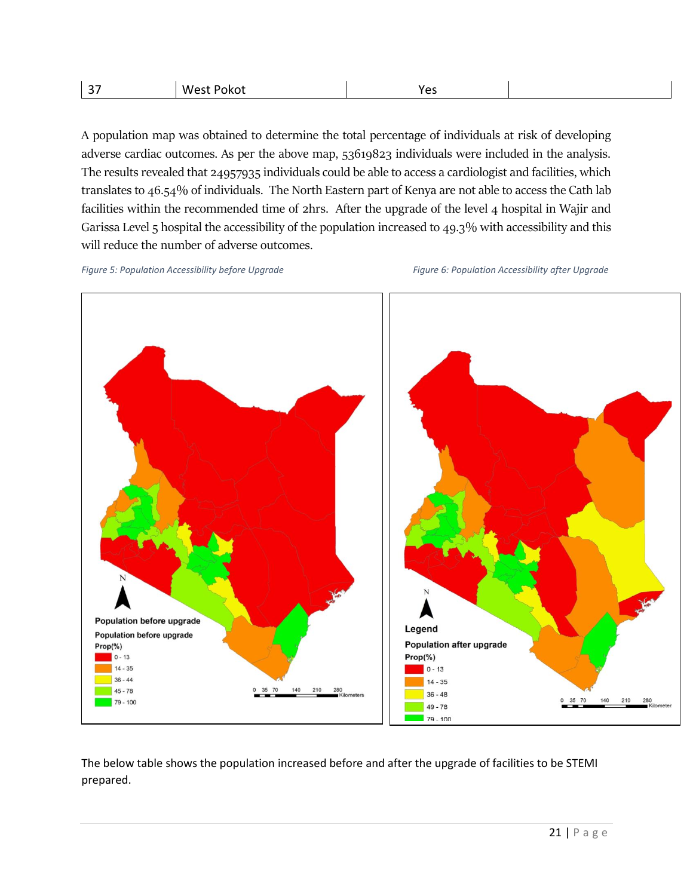| $\sim$<br>$\sim$<br>$\cdot$ | w<br>.к<br>. | . |  |
|-----------------------------|--------------|---|--|
|                             |              |   |  |

A population map was obtained to determine the total percentage of individuals at risk of developing adverse cardiac outcomes. As per the above map, 53619823 individuals were included in the analysis. The results revealed that 24957935 individuals could be able to access a cardiologist and facilities, which translates to 46.54% of individuals. The North Eastern part of Kenya are not able to access the Cath lab facilities within the recommended time of 2hrs. After the upgrade of the level 4 hospital in Wajir and Garissa Level 5 hospital the accessibility of the population increased to 49.3% with accessibility and this will reduce the number of adverse outcomes.

*Figure 5: Population Accessibility before Upgrade* Figure 6: Population Accessibility after Upgrade



The below table shows the population increased before and after the upgrade of facilities to be STEMI prepared.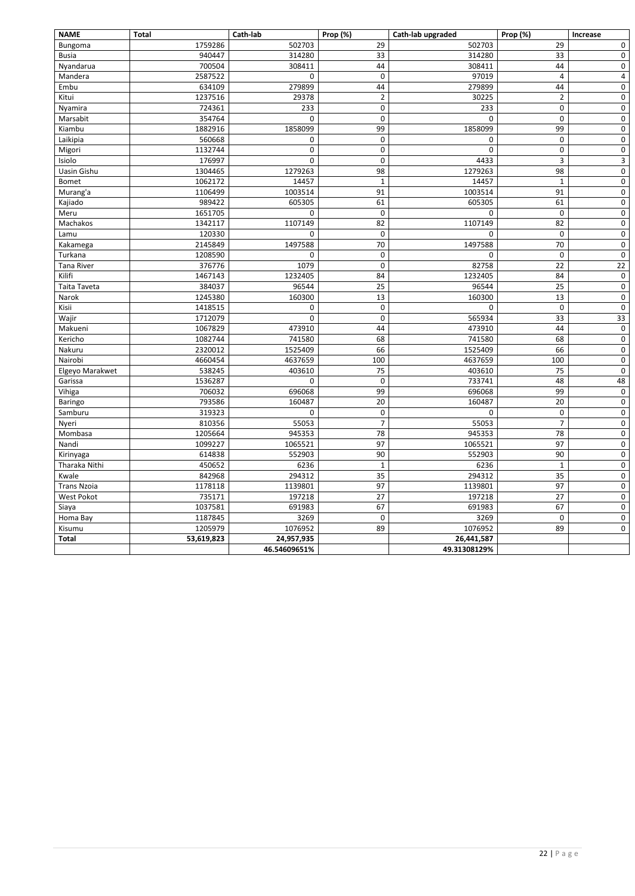# 22 | P a g e

| <b>NAME</b>        | <b>Total</b> | Cath-lab     | Prop (%)       | Cath-lab upgraded | Prop (%)         | <b>Increase</b>         |
|--------------------|--------------|--------------|----------------|-------------------|------------------|-------------------------|
| <b>Bungoma</b>     | 1759286      | 502703       | 29             | 502703            | 29               | 0                       |
| <b>Busia</b>       | 940447       | 314280       | 33             | 314280            | 33               | 0                       |
| Nyandarua          | 700504       | 308411       | 44             | 308411            | 44               | 0                       |
| Mandera            | 2587522      | 0            | $\pmb{0}$      | 97019             | 4                | $\overline{\mathbf{4}}$ |
| Embu               | 634109       | 279899       | 44             | 279899            | 44               | 0                       |
| Kitui              | 1237516      | 29378        | $\overline{2}$ | 30225             | $\overline{c}$   | 0                       |
| Nyamira            | 724361       | 233          | 0              | 233               | $\mathbf 0$      | $\pmb{0}$               |
| Marsabit           | 354764       | 0            | 0              | $\Omega$          | 0                | 0                       |
| Kiambu             | 1882916      | 1858099      | 99             | 1858099           | 99               | 0                       |
| Laikipia           | 560668       | 0            | $\pmb{0}$      | 0                 | 0                | $\pmb{0}$               |
| Migori             | 1132744      | 0            | 0              | $\Omega$          | 0                | 0                       |
| Isiolo             | 176997       | 0            | 0              | 4433              | 3                | 3                       |
| Uasin Gishu        | 1304465      | 1279263      | 98             | 1279263           | 98               | $\pmb{0}$               |
| Bomet              | 1062172      | 14457        | $\mathbf{1}$   | 14457             | $\mathbf{1}$     | $\boldsymbol{0}$        |
| Murang'a           | 1106499      | 1003514      | 91             | 1003514           | 91               | 0                       |
| Kajiado            | 989422       | 605305       | 61             | 605305            | 61               | $\boldsymbol{0}$        |
| Meru               | 1651705      | 0            | $\pmb{0}$      | $\Omega$          | $\boldsymbol{0}$ | 0                       |
| Machakos           | 1342117      | 1107149      | 82             | 1107149           | 82               | 0                       |
| Lamu               | 120330       | 0            | $\pmb{0}$      | 0                 | $\boldsymbol{0}$ | 0                       |
| Kakamega           | 2145849      | 1497588      | 70             | 1497588           | 70               | 0                       |
| Turkana            | 1208590      | 0            | 0              | 0                 | 0                | 0                       |
| <b>Tana River</b>  | 376776       | 1079         | $\pmb{0}$      | 82758             | 22               | $22\,$                  |
| Kilifi             | 1467143      | 1232405      | 84             | 1232405           | 84               | $\pmb{0}$               |
| Taita Taveta       | 384037       | 96544        | 25             | 96544             | 25               | $\pmb{0}$               |
| Narok              | 1245380      | 160300       | 13             | 160300            | 13               | $\pmb{0}$               |
| Kisii              | 1418515      | 0            | $\pmb{0}$      | 0                 | $\pmb{0}$        | 0                       |
| Wajir              | 1712079      | 0            | 0              | 565934            | 33               | 33                      |
| Makueni            | 1067829      | 473910       | 44             | 473910            | 44               | $\pmb{0}$               |
| Kericho            | 1082744      | 741580       | 68             | 741580            | 68               | 0                       |
| Nakuru             | 2320012      | 1525409      | 66             | 1525409           | 66               | $\pmb{0}$               |
| Nairobi            | 4660454      | 4637659      | 100            | 4637659           | 100              | $\pmb{0}$               |
| Elgeyo Marakwet    | 538245       | 403610       | 75             | 403610            | 75               | 0                       |
| Garissa            | 1536287      | 0            | $\mathbf 0$    | 733741            | 48               | 48                      |
| Vihiga             | 706032       | 696068       | 99             | 696068            | 99               | 0                       |
| <b>Baringo</b>     | 793586       | 160487       | 20             | 160487            | 20               | 0                       |
| Samburu            | 319323       | 0            | 0              | 0                 | 0                | $\pmb{0}$               |
| Nyeri              | 810356       | 55053        | $\overline{7}$ | 55053             | $\overline{7}$   | 0                       |
| Mombasa            | 1205664      | 945353       | 78             | 945353            | 78               | $\pmb{0}$               |
| Nandi              | 1099227      | 1065521      | 97             | 1065521           | 97               | $\pmb{0}$               |
| Kirinyaga          | 614838       | 552903       | 90             | 552903            | $90\,$           | 0                       |
| Tharaka Nithi      | 450652       | 6236         | 1              | 6236              | 1                | 0                       |
| Kwale              | 842968       | 294312       | 35             | 294312            | 35               | $\pmb{0}$               |
| <b>Trans Nzoia</b> | 1178118      | 1139801      | 97             | 1139801           | 97               | 0                       |
| West Pokot         | 735171       | 197218       | 27             | 197218            | 27               | $\boldsymbol{0}$        |
| Siaya              | 1037581      | 691983       | 67             | 691983            | 67               | $\pmb{0}$               |
| Homa Bay           | 1187845      | 3269         | 0              | 3269              | 0                | 0                       |
| Kisumu             | 1205979      | 1076952      | 89             | 1076952           | 89               | 0                       |
| Total              | 53,619,823   | 24,957,935   |                | 26,441,587        |                  |                         |
|                    |              | 46.54609651% |                | 49.31308129%      |                  |                         |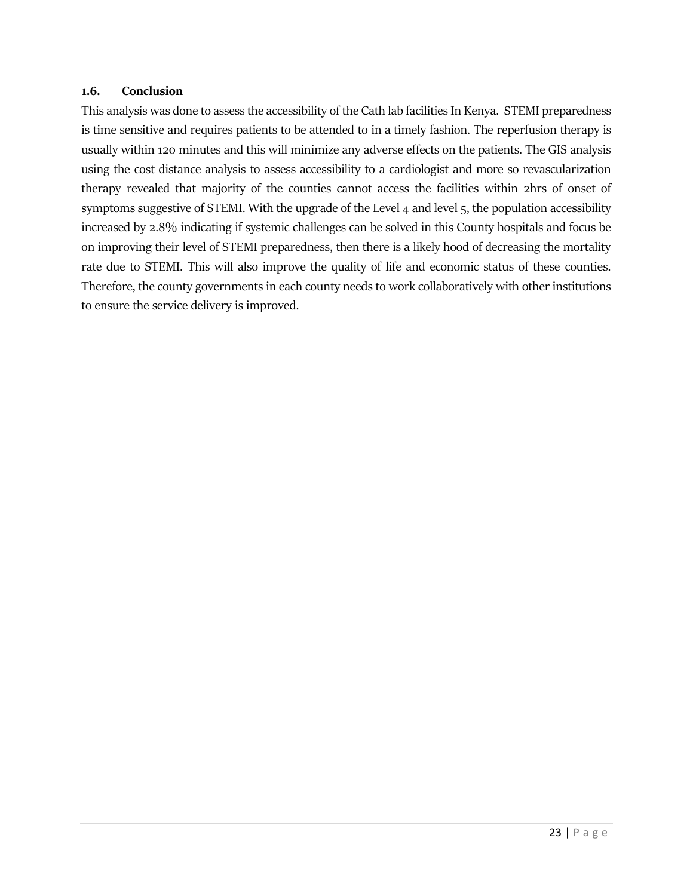#### <span id="page-26-0"></span>**1.6. Conclusion**

This analysis was done to assess the accessibility of the Cath lab facilities In Kenya. STEMI preparedness is time sensitive and requires patients to be attended to in a timely fashion. The reperfusion therapy is usually within 120 minutes and this will minimize any adverse effects on the patients. The GIS analysis using the cost distance analysis to assess accessibility to a cardiologist and more so revascularization therapy revealed that majority of the counties cannot access the facilities within 2hrs of onset of symptoms suggestive of STEMI. With the upgrade of the Level 4 and level 5, the population accessibility increased by 2.8% indicating if systemic challenges can be solved in this County hospitals and focus be on improving their level of STEMI preparedness, then there is a likely hood of decreasing the mortality rate due to STEMI. This will also improve the quality of life and economic status of these counties. Therefore, the county governments in each county needs to work collaboratively with other institutions to ensure the service delivery is improved.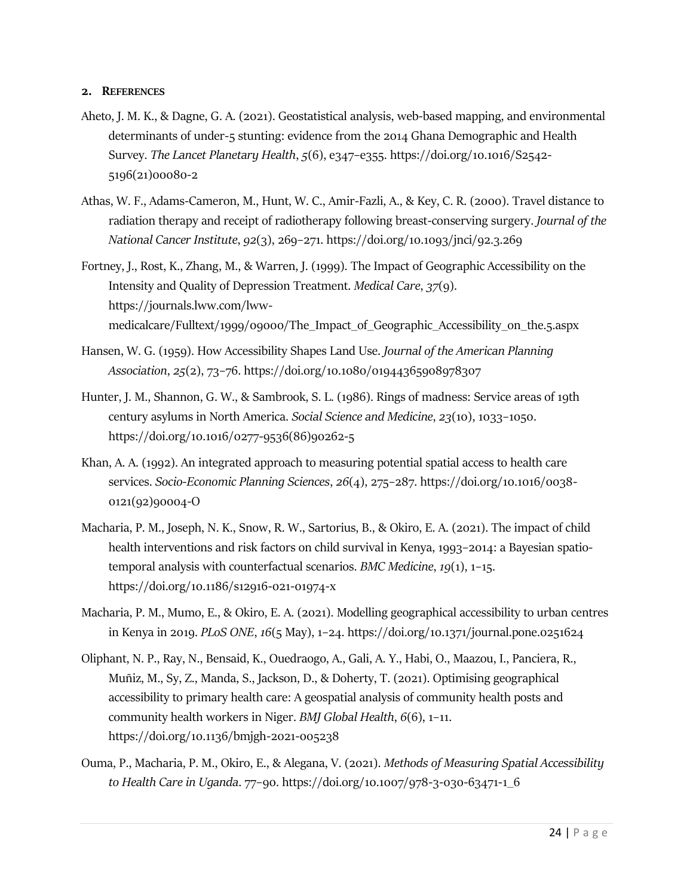#### <span id="page-27-0"></span>**2. REFERENCES**

- Aheto, J. M. K., & Dagne, G. A. (2021). Geostatistical analysis, web-based mapping, and environmental determinants of under-5 stunting: evidence from the 2014 Ghana Demographic and Health Survey. *The Lancet Planetary Health*, *5*(6), e347–e355. https://doi.org/10.1016/S2542- 5196(21)00080-2
- Athas, W. F., Adams-Cameron, M., Hunt, W. C., Amir-Fazli, A., & Key, C. R. (2000). Travel distance to radiation therapy and receipt of radiotherapy following breast-conserving surgery. *Journal of the National Cancer Institute*, *92*(3), 269–271. https://doi.org/10.1093/jnci/92.3.269
- Fortney, J., Rost, K., Zhang, M., & Warren, J. (1999). The Impact of Geographic Accessibility on the Intensity and Quality of Depression Treatment. *Medical Care*, *37*(9). https://journals.lww.com/lwwmedicalcare/Fulltext/1999/09000/The\_Impact\_of\_Geographic\_Accessibility\_on\_the.5.aspx
- Hansen, W. G. (1959). How Accessibility Shapes Land Use. *Journal of the American Planning Association*, *25*(2), 73–76. https://doi.org/10.1080/01944365908978307
- Hunter, J. M., Shannon, G. W., & Sambrook, S. L. (1986). Rings of madness: Service areas of 19th century asylums in North America. *Social Science and Medicine*, *23*(10), 1033–1050. https://doi.org/10.1016/0277-9536(86)90262-5
- Khan, A. A. (1992). An integrated approach to measuring potential spatial access to health care services. *Socio-Economic Planning Sciences*, *26*(4), 275–287. https://doi.org/10.1016/0038- 0121(92)90004-O
- Macharia, P. M., Joseph, N. K., Snow, R. W., Sartorius, B., & Okiro, E. A. (2021). The impact of child health interventions and risk factors on child survival in Kenya, 1993–2014: a Bayesian spatiotemporal analysis with counterfactual scenarios. *BMC Medicine*, *19*(1), 1–15. https://doi.org/10.1186/s12916-021-01974-x
- Macharia, P. M., Mumo, E., & Okiro, E. A. (2021). Modelling geographical accessibility to urban centres in Kenya in 2019. *PLoS ONE*, *16*(5 May), 1–24. https://doi.org/10.1371/journal.pone.0251624
- Oliphant, N. P., Ray, N., Bensaid, K., Ouedraogo, A., Gali, A. Y., Habi, O., Maazou, I., Panciera, R., Muñiz, M., Sy, Z., Manda, S., Jackson, D., & Doherty, T. (2021). Optimising geographical accessibility to primary health care: A geospatial analysis of community health posts and community health workers in Niger. *BMJ Global Health*, *6*(6), 1–11. https://doi.org/10.1136/bmjgh-2021-005238
- Ouma, P., Macharia, P. M., Okiro, E., & Alegana, V. (2021). *Methods of Measuring Spatial Accessibility to Health Care in Uganda*. 77–90. https://doi.org/10.1007/978-3-030-63471-1\_6